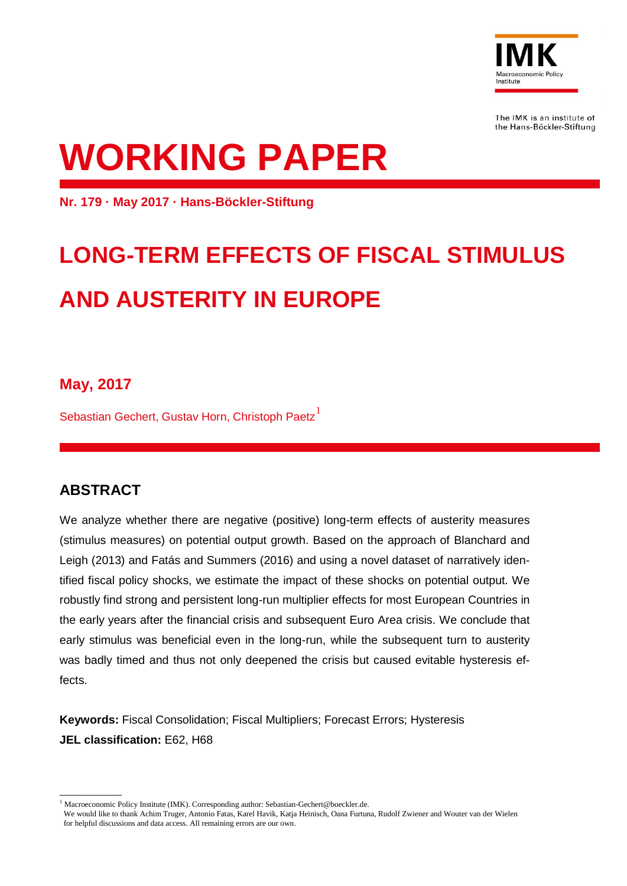

The IMK is an institute of the Hans-Böckler-Stiftung

# **WORKING PAPER**

**Nr. 179 · May 2017 · Hans-Böckler-Stiftung**

## **LONG-TERM EFFECTS OF FISCAL STIMULUS AND AUSTERITY IN EUROPE**

## **May, 2017**

Sebastian Gechert, Gustav Horn, Christoph Paetz<sup>[1](#page-0-0)</sup>

## **ABSTRACT**

—————————

We analyze whether there are negative (positive) long-term effects of austerity measures (stimulus measures) on potential output growth. Based on the approach of Blanchard and Leigh (2013) and Fatás and Summers (2016) and using a novel dataset of narratively identified fiscal policy shocks, we estimate the impact of these shocks on potential output. We robustly find strong and persistent long-run multiplier effects for most European Countries in the early years after the financial crisis and subsequent Euro Area crisis. We conclude that early stimulus was beneficial even in the long-run, while the subsequent turn to austerity was badly timed and thus not only deepened the crisis but caused evitable hysteresis effects.

**Keywords:** Fiscal Consolidation; Fiscal Multipliers; Forecast Errors; Hysteresis **JEL classification:** E62, H68

<span id="page-0-0"></span><sup>&</sup>lt;sup>1</sup> Macroeconomic Policy Institute (IMK). Corresponding author[: Sebastian-Gechert@boeckler.de.](mailto:Sebastian-Gechert@boeckler.de)

We would like to thank Achim Truger, Antonio Fatas, Karel Havik, Katja Heinisch, Oana Furtuna, Rudolf Zwiener and Wouter van der Wielen for helpful discussions and data access. All remaining errors are our own.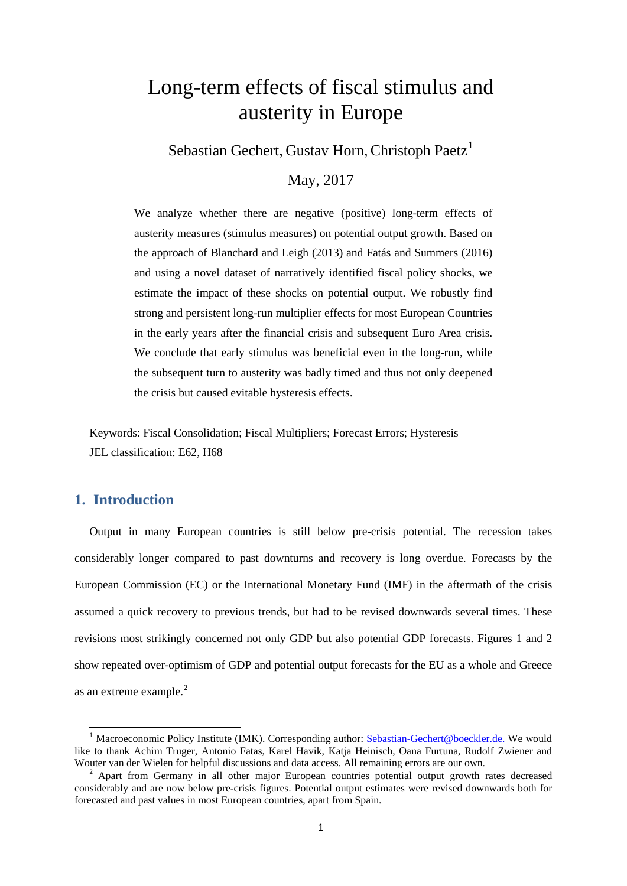## Long-term effects of fiscal stimulus and austerity in Europe

Sebastian Gechert, Gustav Horn, Christoph Paetz<sup>[1](#page-1-0)</sup>

#### May, 2017

We analyze whether there are negative (positive) long-term effects of austerity measures (stimulus measures) on potential output growth. Based on the approach of Blanchard and Leigh (2013) and Fatás and Summers (2016) and using a novel dataset of narratively identified fiscal policy shocks, we estimate the impact of these shocks on potential output. We robustly find strong and persistent long-run multiplier effects for most European Countries in the early years after the financial crisis and subsequent Euro Area crisis. We conclude that early stimulus was beneficial even in the long-run, while the subsequent turn to austerity was badly timed and thus not only deepened the crisis but caused evitable hysteresis effects.

Keywords: Fiscal Consolidation; Fiscal Multipliers; Forecast Errors; Hysteresis JEL classification: E62, H68

#### **1. Introduction**

 $\overline{a}$ 

Output in many European countries is still below pre-crisis potential. The recession takes considerably longer compared to past downturns and recovery is long overdue. Forecasts by the European Commission (EC) or the International Monetary Fund (IMF) in the aftermath of the crisis assumed a quick recovery to previous trends, but had to be revised downwards several times. These revisions most strikingly concerned not only GDP but also potential GDP forecasts. Figures 1 and 2 show repeated over-optimism of GDP and potential output forecasts for the EU as a whole and Greece as an extreme example.<sup>[2](#page-1-1)</sup>

<span id="page-1-0"></span><sup>&</sup>lt;sup>1</sup> Macroeconomic Policy Institute (IMK). Corresponding author: [Sebastian-Gechert@boeckler.de.](mailto:Sebastian-Gechert@boeckler.de) We would like to thank Achim Truger, Antonio Fatas, Karel Havik, Katja Heinisch, Oana Furtuna, Rudolf Zwiener and Wouter van der Wielen for helpful discussions and data access. All remaining errors are our own.<br><sup>2</sup> Apart from Germany in all other major European countries potential output growth rates decreased

<span id="page-1-1"></span>considerably and are now below pre-crisis figures. Potential output estimates were revised downwards both for forecasted and past values in most European countries, apart from Spain.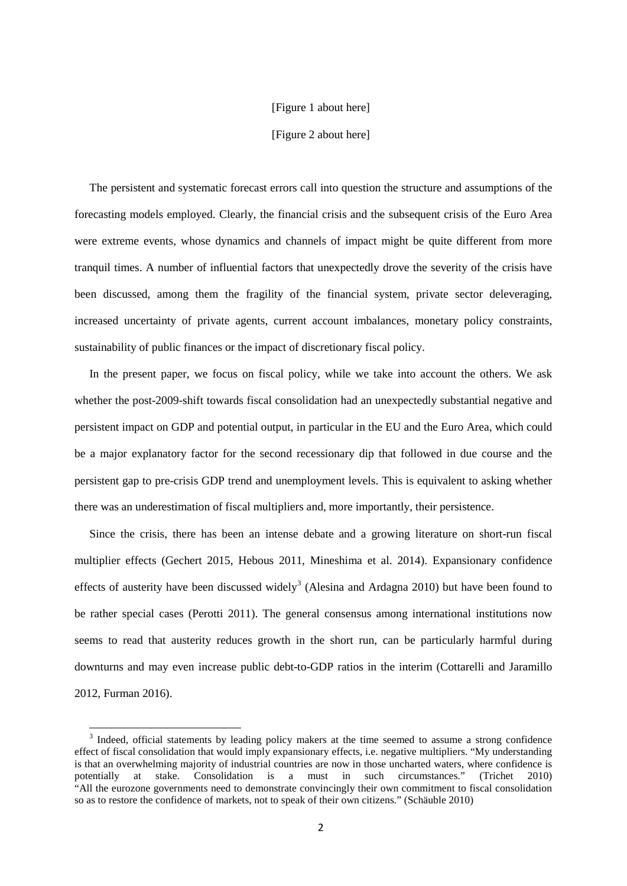#### [Figure 1 about here]

[Figure 2 about here]

The persistent and systematic forecast errors call into question the structure and assumptions of the forecasting models employed. Clearly, the financial crisis and the subsequent crisis of the Euro Area were extreme events, whose dynamics and channels of impact might be quite different from more tranquil times. A number of influential factors that unexpectedly drove the severity of the crisis have been discussed, among them the fragility of the financial system, private sector deleveraging, increased uncertainty of private agents, current account imbalances, monetary policy constraints, sustainability of public finances or the impact of discretionary fiscal policy.

In the present paper, we focus on fiscal policy, while we take into account the others. We ask whether the post-2009-shift towards fiscal consolidation had an unexpectedly substantial negative and persistent impact on GDP and potential output, in particular in the EU and the Euro Area, which could be a major explanatory factor for the second recessionary dip that followed in due course and the persistent gap to pre-crisis GDP trend and unemployment levels. This is equivalent to asking whether there was an underestimation of fiscal multipliers and, more importantly, their persistence.

Since the crisis, there has been an intense debate and a growing literature on short-run fiscal multiplier effects (Gechert 2015, Hebous 2011, Mineshima et al. 2014). Expansionary confidence effects of austerity have been discussed widely<sup>[3](#page-2-0)</sup> (Alesina and Ardagna 2010) but have been found to be rather special cases (Perotti 2011). The general consensus among international institutions now seems to read that austerity reduces growth in the short run, can be particularly harmful during downturns and may even increase public debt-to-GDP ratios in the interim (Cottarelli and Jaramillo 2012, Furman 2016).

 $\overline{a}$ 

<span id="page-2-0"></span><sup>&</sup>lt;sup>3</sup> Indeed, official statements by leading policy makers at the time seemed to assume a strong confidence effect of fiscal consolidation that would imply expansionary effects, i.e. negative multipliers. "My understanding is that an overwhelming majority of industrial countries are now in those uncharted waters, where confidence is potentially at stake. Consolidation is a must in such circumstances." (Trichet 2010) "All the eurozone governments need to demonstrate convincingly their own commitment to fiscal consolidation so as to restore the confidence of markets, not to speak of their own citizens." (Schäuble 2010)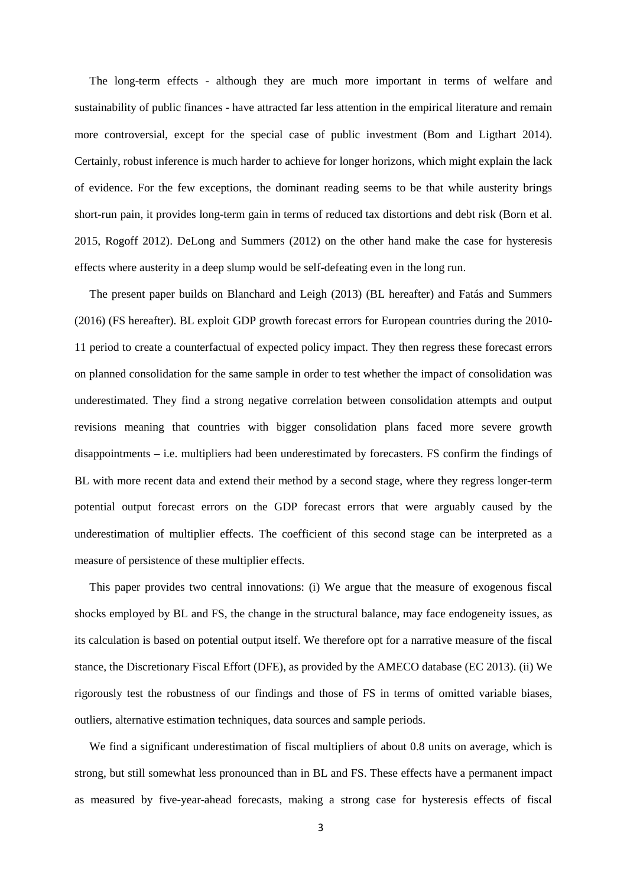The long-term effects - although they are much more important in terms of welfare and sustainability of public finances - have attracted far less attention in the empirical literature and remain more controversial, except for the special case of public investment (Bom and Ligthart 2014). Certainly, robust inference is much harder to achieve for longer horizons, which might explain the lack of evidence. For the few exceptions, the dominant reading seems to be that while austerity brings short-run pain, it provides long-term gain in terms of reduced tax distortions and debt risk (Born et al. 2015, Rogoff 2012). DeLong and Summers (2012) on the other hand make the case for hysteresis effects where austerity in a deep slump would be self-defeating even in the long run.

The present paper builds on Blanchard and Leigh (2013) (BL hereafter) and Fatás and Summers (2016) (FS hereafter). BL exploit GDP growth forecast errors for European countries during the 2010- 11 period to create a counterfactual of expected policy impact. They then regress these forecast errors on planned consolidation for the same sample in order to test whether the impact of consolidation was underestimated. They find a strong negative correlation between consolidation attempts and output revisions meaning that countries with bigger consolidation plans faced more severe growth disappointments – i.e. multipliers had been underestimated by forecasters. FS confirm the findings of BL with more recent data and extend their method by a second stage, where they regress longer-term potential output forecast errors on the GDP forecast errors that were arguably caused by the underestimation of multiplier effects. The coefficient of this second stage can be interpreted as a measure of persistence of these multiplier effects.

This paper provides two central innovations: (i) We argue that the measure of exogenous fiscal shocks employed by BL and FS, the change in the structural balance, may face endogeneity issues, as its calculation is based on potential output itself. We therefore opt for a narrative measure of the fiscal stance, the Discretionary Fiscal Effort (DFE), as provided by the AMECO database (EC 2013). (ii) We rigorously test the robustness of our findings and those of FS in terms of omitted variable biases, outliers, alternative estimation techniques, data sources and sample periods.

We find a significant underestimation of fiscal multipliers of about 0.8 units on average, which is strong, but still somewhat less pronounced than in BL and FS. These effects have a permanent impact as measured by five-year-ahead forecasts, making a strong case for hysteresis effects of fiscal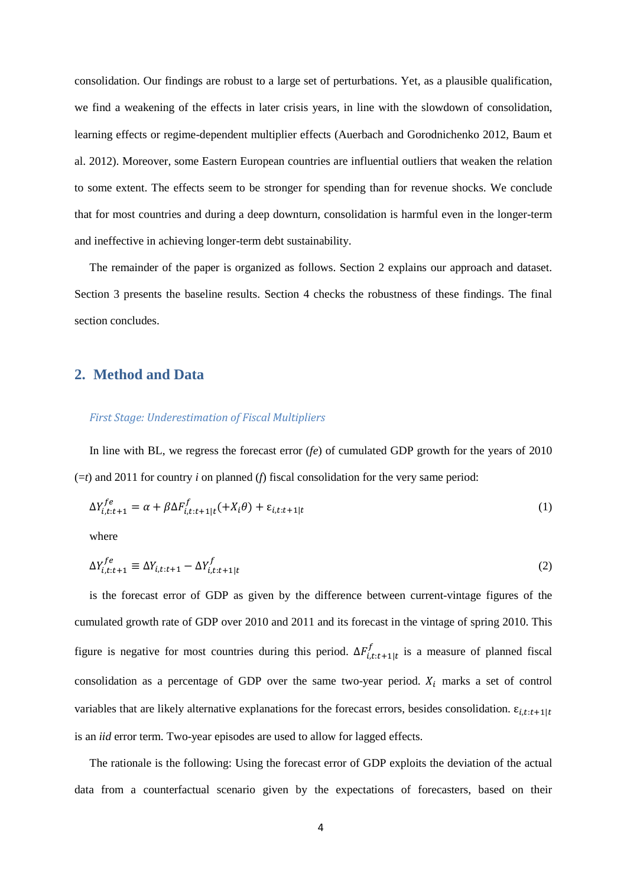consolidation. Our findings are robust to a large set of perturbations. Yet, as a plausible qualification, we find a weakening of the effects in later crisis years, in line with the slowdown of consolidation, learning effects or regime-dependent multiplier effects (Auerbach and Gorodnichenko 2012, Baum et al. 2012). Moreover, some Eastern European countries are influential outliers that weaken the relation to some extent. The effects seem to be stronger for spending than for revenue shocks. We conclude that for most countries and during a deep downturn, consolidation is harmful even in the longer-term and ineffective in achieving longer-term debt sustainability.

The remainder of the paper is organized as follows. Section 2 explains our approach and dataset. Section 3 presents the baseline results. Section 4 checks the robustness of these findings. The final section concludes.

#### **2. Method and Data**

#### *First Stage: Underestimation of Fiscal Multipliers*

In line with BL, we regress the forecast error (*fe*) of cumulated GDP growth for the years of 2010 (=*t*) and 2011 for country *i* on planned (*f*) fiscal consolidation for the very same period:

$$
\Delta Y_{i,t:t+1}^{fe} = \alpha + \beta \Delta F_{i,t:t+1|t}^f(+X_i \theta) + \varepsilon_{i,t:t+1|t}
$$
\n<sup>(1)</sup>

where

$$
\Delta Y_{i,t:t+1}^{fe} \equiv \Delta Y_{i,t:t+1} - \Delta Y_{i,t:t+1|t}^{f} \tag{2}
$$

is the forecast error of GDP as given by the difference between current-vintage figures of the cumulated growth rate of GDP over 2010 and 2011 and its forecast in the vintage of spring 2010. This figure is negative for most countries during this period.  $\Delta F_{i,t:t+1|t}^f$  is a measure of planned fiscal consolidation as a percentage of GDP over the same two-year period.  $X_i$  marks a set of control variables that are likely alternative explanations for the forecast errors, besides consolidation.  $\varepsilon_{i,t:t+1|t}$ is an *iid* error term. Two-year episodes are used to allow for lagged effects.

The rationale is the following: Using the forecast error of GDP exploits the deviation of the actual data from a counterfactual scenario given by the expectations of forecasters, based on their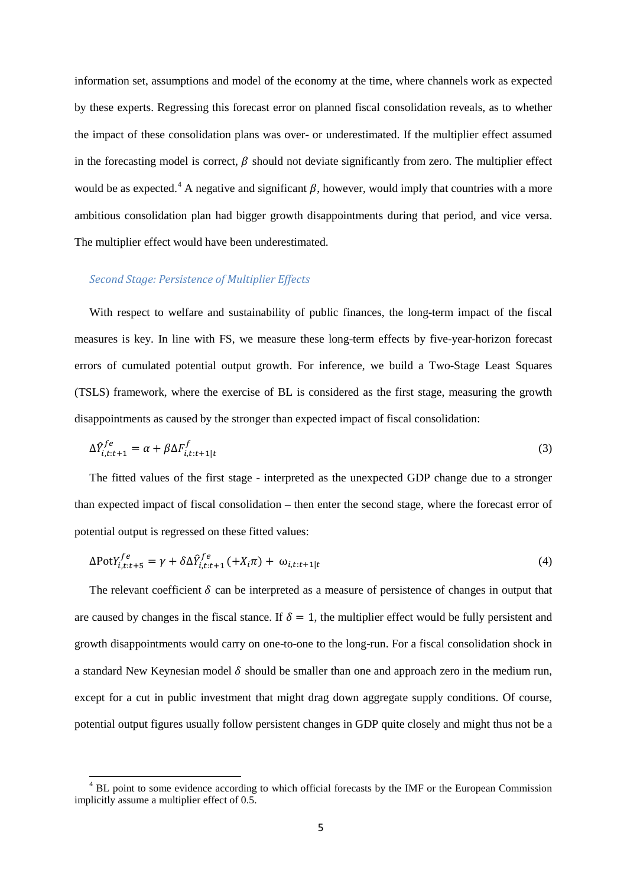information set, assumptions and model of the economy at the time, where channels work as expected by these experts. Regressing this forecast error on planned fiscal consolidation reveals, as to whether the impact of these consolidation plans was over- or underestimated. If the multiplier effect assumed in the forecasting model is correct,  $\beta$  should not deviate significantly from zero. The multiplier effect would be as expected.<sup>[4](#page-5-0)</sup> A negative and significant  $\beta$ , however, would imply that countries with a more ambitious consolidation plan had bigger growth disappointments during that period, and vice versa. The multiplier effect would have been underestimated.

#### *Second Stage: Persistence of Multiplier Effects*

 $\overline{a}$ 

With respect to welfare and sustainability of public finances, the long-term impact of the fiscal measures is key. In line with FS, we measure these long-term effects by five-year-horizon forecast errors of cumulated potential output growth. For inference, we build a Two-Stage Least Squares (TSLS) framework, where the exercise of BL is considered as the first stage, measuring the growth disappointments as caused by the stronger than expected impact of fiscal consolidation:

$$
\Delta \hat{Y}_{i,t:t+1}^{fe} = \alpha + \beta \Delta F_{i,t:t+1|t}^{f} \tag{3}
$$

The fitted values of the first stage - interpreted as the unexpected GDP change due to a stronger than expected impact of fiscal consolidation – then enter the second stage, where the forecast error of potential output is regressed on these fitted values:

$$
\Delta \text{Pot} Y_{i,t:t+5}^{fe} = \gamma + \delta \Delta \hat{Y}_{i,t:t+1}^{fe} (+X_i \pi) + \omega_{i,t:t+1|t}
$$
\n
$$
\tag{4}
$$

The relevant coefficient  $\delta$  can be interpreted as a measure of persistence of changes in output that are caused by changes in the fiscal stance. If  $\delta = 1$ , the multiplier effect would be fully persistent and growth disappointments would carry on one-to-one to the long-run. For a fiscal consolidation shock in a standard New Keynesian model  $\delta$  should be smaller than one and approach zero in the medium run, except for a cut in public investment that might drag down aggregate supply conditions. Of course, potential output figures usually follow persistent changes in GDP quite closely and might thus not be a

<span id="page-5-0"></span><sup>&</sup>lt;sup>4</sup> BL point to some evidence according to which official forecasts by the IMF or the European Commission implicitly assume a multiplier effect of 0.5.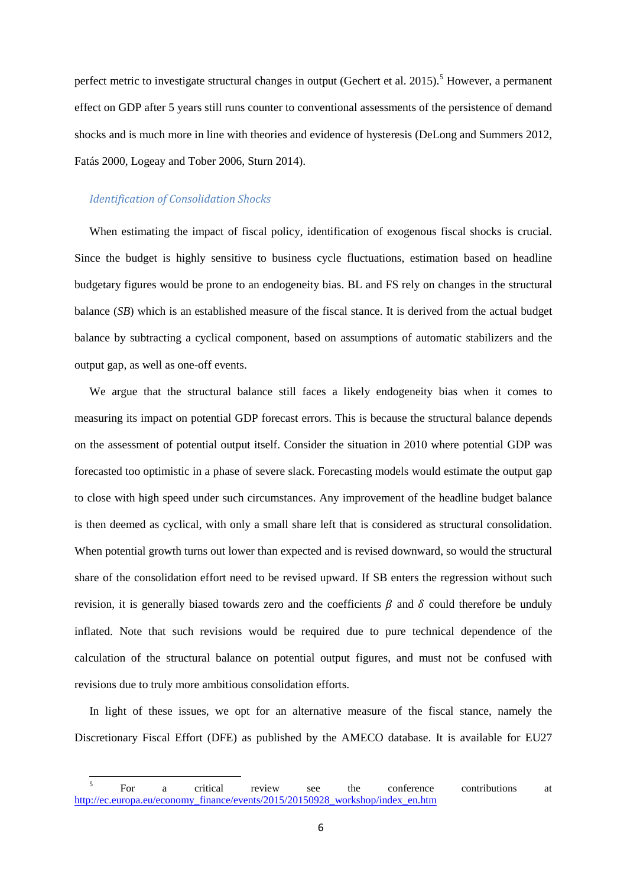perfect metric to investigate structural changes in output (Gechert et al. 201[5](#page-6-0)).<sup>5</sup> However, a permanent effect on GDP after 5 years still runs counter to conventional assessments of the persistence of demand shocks and is much more in line with theories and evidence of hysteresis (DeLong and Summers 2012, Fatás 2000, Logeay and Tober 2006, Sturn 2014).

#### *Identification of Consolidation Shocks*

 $\overline{a}$ 

When estimating the impact of fiscal policy, identification of exogenous fiscal shocks is crucial. Since the budget is highly sensitive to business cycle fluctuations, estimation based on headline budgetary figures would be prone to an endogeneity bias. BL and FS rely on changes in the structural balance (*SB*) which is an established measure of the fiscal stance. It is derived from the actual budget balance by subtracting a cyclical component, based on assumptions of automatic stabilizers and the output gap, as well as one-off events.

We argue that the structural balance still faces a likely endogeneity bias when it comes to measuring its impact on potential GDP forecast errors. This is because the structural balance depends on the assessment of potential output itself. Consider the situation in 2010 where potential GDP was forecasted too optimistic in a phase of severe slack. Forecasting models would estimate the output gap to close with high speed under such circumstances. Any improvement of the headline budget balance is then deemed as cyclical, with only a small share left that is considered as structural consolidation. When potential growth turns out lower than expected and is revised downward, so would the structural share of the consolidation effort need to be revised upward. If SB enters the regression without such revision, it is generally biased towards zero and the coefficients  $\beta$  and  $\delta$  could therefore be unduly inflated. Note that such revisions would be required due to pure technical dependence of the calculation of the structural balance on potential output figures, and must not be confused with revisions due to truly more ambitious consolidation efforts.

In light of these issues, we opt for an alternative measure of the fiscal stance, namely the Discretionary Fiscal Effort (DFE) as published by the AMECO database. It is available for EU27

<span id="page-6-0"></span><sup>&</sup>lt;sup>5</sup> For a critical review see the conference contributions at [http://ec.europa.eu/economy\\_finance/events/2015/20150928\\_workshop/index\\_en.htm](http://ec.europa.eu/economy_finance/events/2015/20150928_workshop/index_en.htm)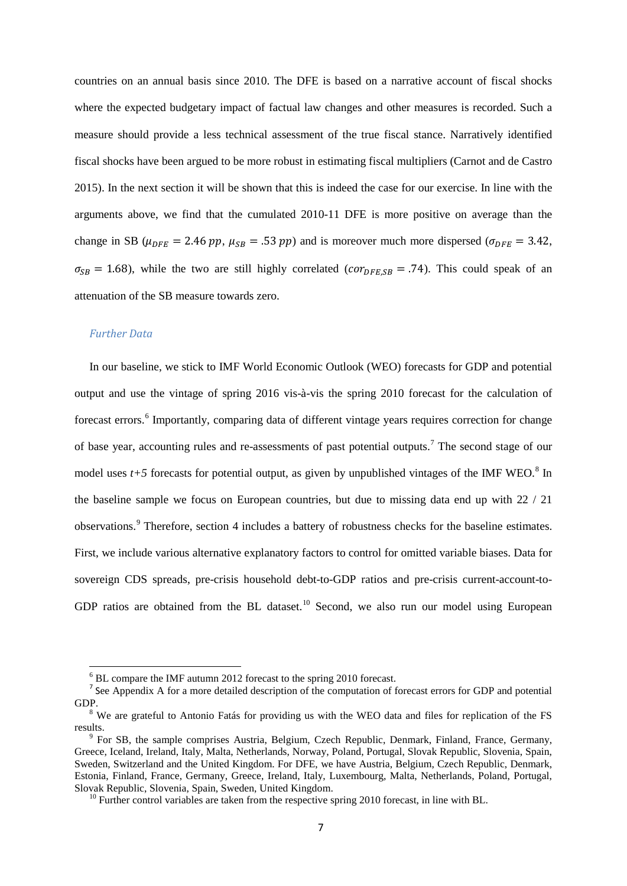countries on an annual basis since 2010. The DFE is based on a narrative account of fiscal shocks where the expected budgetary impact of factual law changes and other measures is recorded. Such a measure should provide a less technical assessment of the true fiscal stance. Narratively identified fiscal shocks have been argued to be more robust in estimating fiscal multipliers (Carnot and de Castro 2015). In the next section it will be shown that this is indeed the case for our exercise. In line with the arguments above, we find that the cumulated 2010-11 DFE is more positive on average than the change in SB ( $\mu_{DFE} = 2.46 pp$ ,  $\mu_{SB} = .53 pp$ ) and is moreover much more dispersed ( $\sigma_{DFE} = 3.42$ ,  $\sigma_{SB} = 1.68$ ), while the two are still highly correlated ( $cor_{DFESB} = .74$ ). This could speak of an attenuation of the SB measure towards zero.

#### *Further Data*

In our baseline, we stick to IMF World Economic Outlook (WEO) forecasts for GDP and potential output and use the vintage of spring 2016 vis-à-vis the spring 2010 forecast for the calculation of forecast errors. [6](#page-7-0) Importantly, comparing data of different vintage years requires correction for change of base year, accounting rules and re-assessments of past potential outputs.<sup>[7](#page-7-1)</sup> The second stage of our model uses  $t+5$  forecasts for potential output, as given by unpublished vintages of the IMF WEO.<sup>[8](#page-7-2)</sup> In the baseline sample we focus on European countries, but due to missing data end up with 22 / 21 observations.[9](#page-7-3) Therefore, section 4 includes a battery of robustness checks for the baseline estimates. First, we include various alternative explanatory factors to control for omitted variable biases. Data for sovereign CDS spreads, pre-crisis household debt-to-GDP ratios and pre-crisis current-account-to-GDP ratios are obtained from the BL dataset.<sup>[10](#page-7-4)</sup> Second, we also run our model using European

 $6$  BL compare the IMF autumn 2012 forecast to the spring 2010 forecast.

<span id="page-7-1"></span><span id="page-7-0"></span><sup>&</sup>lt;sup>7</sup> See Appendix A for a more detailed description of the computation of forecast errors for GDP and potential GDP.

<span id="page-7-2"></span> $8 \text{ W}$  are grateful to Antonio Fatás for providing us with the WEO data and files for replication of the FS results. <sup>9</sup> For SB, the sample comprises Austria, Belgium, Czech Republic, Denmark, Finland, France, Germany,

<span id="page-7-3"></span>Greece, Iceland, Ireland, Italy, Malta, Netherlands, Norway, Poland, Portugal, Slovak Republic, Slovenia, Spain, Sweden, Switzerland and the United Kingdom. For DFE, we have Austria, Belgium, Czech Republic, Denmark, Estonia, Finland, France, Germany, Greece, Ireland, Italy, Luxembourg, Malta, Netherlands, Poland, Portugal,

<span id="page-7-4"></span> $10$  Further control variables are taken from the respective spring 2010 forecast, in line with BL.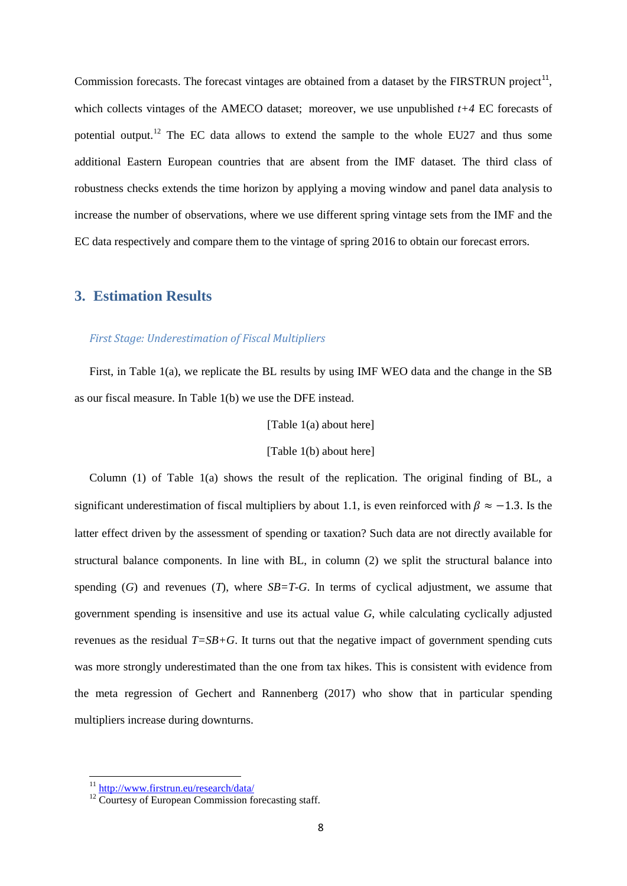Commission forecasts. The forecast vintages are obtained from a dataset by the FIRSTRUN project<sup>[11](#page-8-0)</sup>, which collects vintages of the AMECO dataset; moreover, we use unpublished *t+4* EC forecasts of potential output.<sup>[12](#page-8-1)</sup> The EC data allows to extend the sample to the whole EU27 and thus some additional Eastern European countries that are absent from the IMF dataset. The third class of robustness checks extends the time horizon by applying a moving window and panel data analysis to increase the number of observations, where we use different spring vintage sets from the IMF and the EC data respectively and compare them to the vintage of spring 2016 to obtain our forecast errors.

#### **3. Estimation Results**

#### *First Stage: Underestimation of Fiscal Multipliers*

First, in Table 1(a), we replicate the BL results by using IMF WEO data and the change in the SB as our fiscal measure. In Table 1(b) we use the DFE instead.

[Table 1(a) about here]

[Table 1(b) about here]

Column (1) of Table 1(a) shows the result of the replication. The original finding of BL, a significant underestimation of fiscal multipliers by about 1.1, is even reinforced with  $\beta \approx -1.3$ . Is the latter effect driven by the assessment of spending or taxation? Such data are not directly available for structural balance components. In line with BL, in column (2) we split the structural balance into spending  $(G)$  and revenues  $(T)$ , where  $SB = T - G$ . In terms of cyclical adjustment, we assume that government spending is insensitive and use its actual value *G*, while calculating cyclically adjusted revenues as the residual  $T=S_B+G$ . It turns out that the negative impact of government spending cuts was more strongly underestimated than the one from tax hikes. This is consistent with evidence from the meta regression of Gechert and Rannenberg (2017) who show that in particular spending multipliers increase during downturns.

<sup>&</sup>lt;sup>11</sup> http://www.firstrun.eu/research/data/

<span id="page-8-1"></span><span id="page-8-0"></span> $12$  Courtesy of European Commission forecasting staff.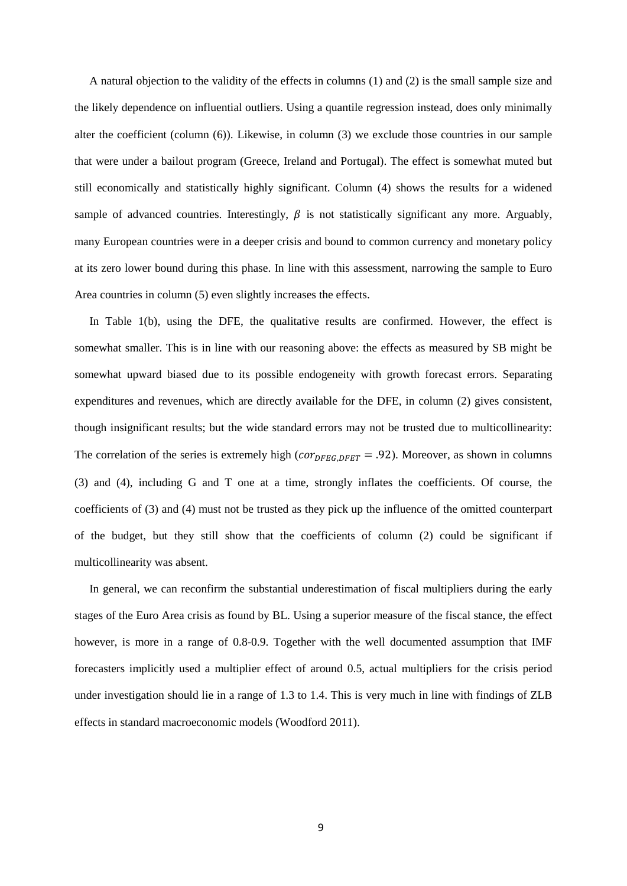A natural objection to the validity of the effects in columns (1) and (2) is the small sample size and the likely dependence on influential outliers. Using a quantile regression instead, does only minimally alter the coefficient (column (6)). Likewise, in column (3) we exclude those countries in our sample that were under a bailout program (Greece, Ireland and Portugal). The effect is somewhat muted but still economically and statistically highly significant. Column (4) shows the results for a widened sample of advanced countries. Interestingly,  $\beta$  is not statistically significant any more. Arguably, many European countries were in a deeper crisis and bound to common currency and monetary policy at its zero lower bound during this phase. In line with this assessment, narrowing the sample to Euro Area countries in column (5) even slightly increases the effects.

In Table 1(b), using the DFE, the qualitative results are confirmed. However, the effect is somewhat smaller. This is in line with our reasoning above: the effects as measured by SB might be somewhat upward biased due to its possible endogeneity with growth forecast errors. Separating expenditures and revenues, which are directly available for the DFE, in column (2) gives consistent, though insignificant results; but the wide standard errors may not be trusted due to multicollinearity: The correlation of the series is extremely high ( $cor_{DFEG, DFET}$  = .92). Moreover, as shown in columns (3) and (4), including G and T one at a time, strongly inflates the coefficients. Of course, the coefficients of (3) and (4) must not be trusted as they pick up the influence of the omitted counterpart of the budget, but they still show that the coefficients of column (2) could be significant if multicollinearity was absent.

In general, we can reconfirm the substantial underestimation of fiscal multipliers during the early stages of the Euro Area crisis as found by BL. Using a superior measure of the fiscal stance, the effect however, is more in a range of 0.8-0.9. Together with the well documented assumption that IMF forecasters implicitly used a multiplier effect of around 0.5, actual multipliers for the crisis period under investigation should lie in a range of 1.3 to 1.4. This is very much in line with findings of ZLB effects in standard macroeconomic models (Woodford 2011).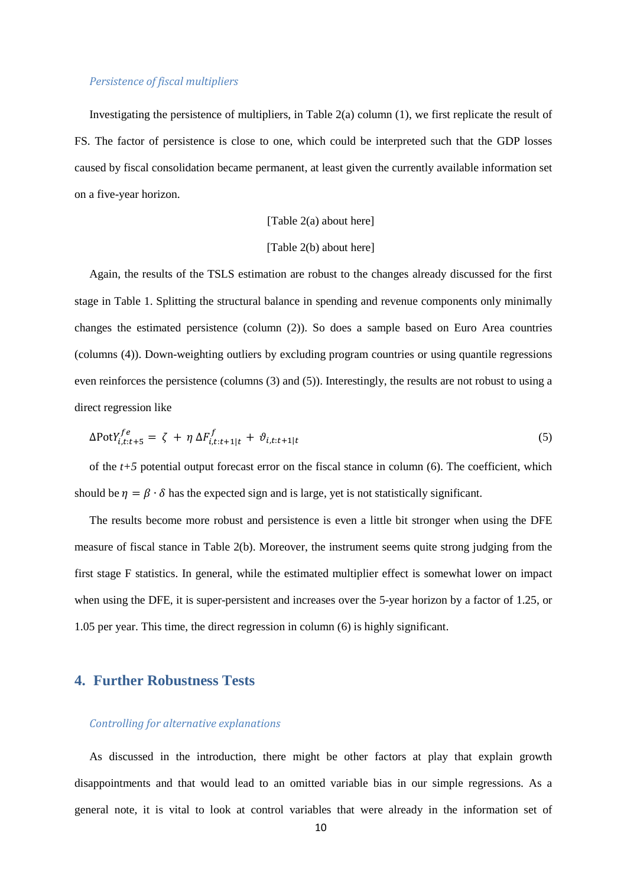#### *Persistence of fiscal multipliers*

Investigating the persistence of multipliers, in Table 2(a) column (1), we first replicate the result of FS. The factor of persistence is close to one, which could be interpreted such that the GDP losses caused by fiscal consolidation became permanent, at least given the currently available information set on a five-year horizon.

#### [Table 2(a) about here]

#### [Table 2(b) about here]

Again, the results of the TSLS estimation are robust to the changes already discussed for the first stage in Table 1. Splitting the structural balance in spending and revenue components only minimally changes the estimated persistence (column (2)). So does a sample based on Euro Area countries (columns (4)). Down-weighting outliers by excluding program countries or using quantile regressions even reinforces the persistence (columns (3) and (5)). Interestingly, the results are not robust to using a direct regression like

$$
\Delta \text{Pot} Y_{i,t:t+5}^{fe} = \zeta + \eta \Delta F_{i,t:t+1|t}^{f} + \vartheta_{i,t:t+1|t}
$$
\n
$$
(5)
$$

of the  $t+5$  potential output forecast error on the fiscal stance in column (6). The coefficient, which should be  $n = \beta \cdot \delta$  has the expected sign and is large, yet is not statistically significant.

The results become more robust and persistence is even a little bit stronger when using the DFE measure of fiscal stance in Table 2(b). Moreover, the instrument seems quite strong judging from the first stage F statistics. In general, while the estimated multiplier effect is somewhat lower on impact when using the DFE, it is super-persistent and increases over the 5-year horizon by a factor of 1.25, or 1.05 per year. This time, the direct regression in column (6) is highly significant.

#### **4. Further Robustness Tests**

#### *Controlling for alternative explanations*

As discussed in the introduction, there might be other factors at play that explain growth disappointments and that would lead to an omitted variable bias in our simple regressions. As a general note, it is vital to look at control variables that were already in the information set of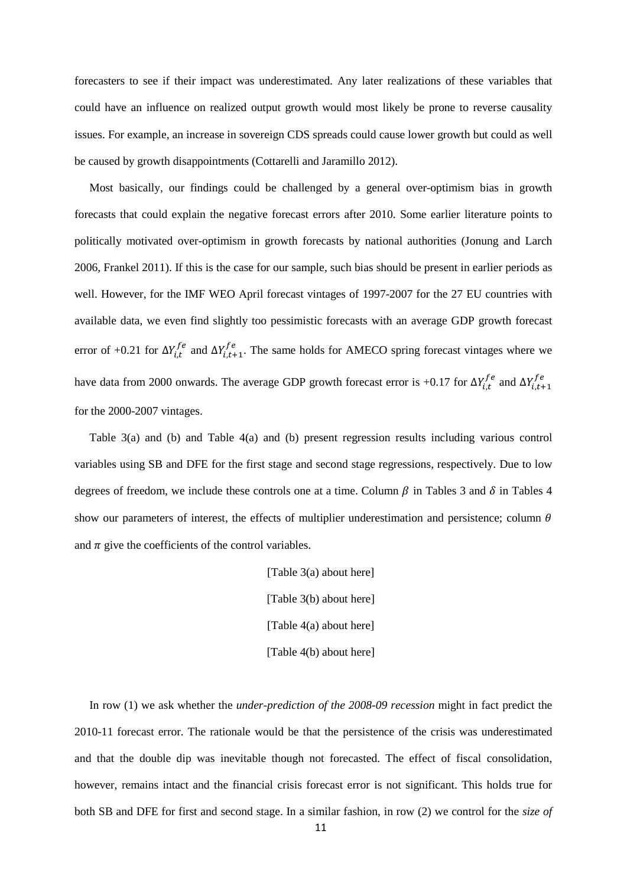forecasters to see if their impact was underestimated. Any later realizations of these variables that could have an influence on realized output growth would most likely be prone to reverse causality issues. For example, an increase in sovereign CDS spreads could cause lower growth but could as well be caused by growth disappointments (Cottarelli and Jaramillo 2012).

Most basically, our findings could be challenged by a general over-optimism bias in growth forecasts that could explain the negative forecast errors after 2010. Some earlier literature points to politically motivated over-optimism in growth forecasts by national authorities (Jonung and Larch 2006, Frankel 2011). If this is the case for our sample, such bias should be present in earlier periods as well. However, for the IMF WEO April forecast vintages of 1997-2007 for the 27 EU countries with available data, we even find slightly too pessimistic forecasts with an average GDP growth forecast error of +0.21 for  $\Delta Y_{i,t}^{fe}$  and  $\Delta Y_{i,t+1}^{fe}$ . The same holds for AMECO spring forecast vintages where we have data from 2000 onwards. The average GDP growth forecast error is +0.17 for  $\Delta Y_{i,t}^{fe}$  and  $\Delta Y_{i,t+1}^{fe}$ for the 2000-2007 vintages.

Table 3(a) and (b) and Table 4(a) and (b) present regression results including various control variables using SB and DFE for the first stage and second stage regressions, respectively. Due to low degrees of freedom, we include these controls one at a time. Column  $\beta$  in Tables 3 and  $\delta$  in Tables 4 show our parameters of interest, the effects of multiplier underestimation and persistence; column  $\theta$ and  $\pi$  give the coefficients of the control variables.

> [Table 3(a) about here] [Table 3(b) about here] [Table 4(a) about here] [Table 4(b) about here]

In row (1) we ask whether the *under-prediction of the 2008-09 recession* might in fact predict the 2010-11 forecast error. The rationale would be that the persistence of the crisis was underestimated and that the double dip was inevitable though not forecasted. The effect of fiscal consolidation, however, remains intact and the financial crisis forecast error is not significant. This holds true for both SB and DFE for first and second stage. In a similar fashion, in row (2) we control for the *size of*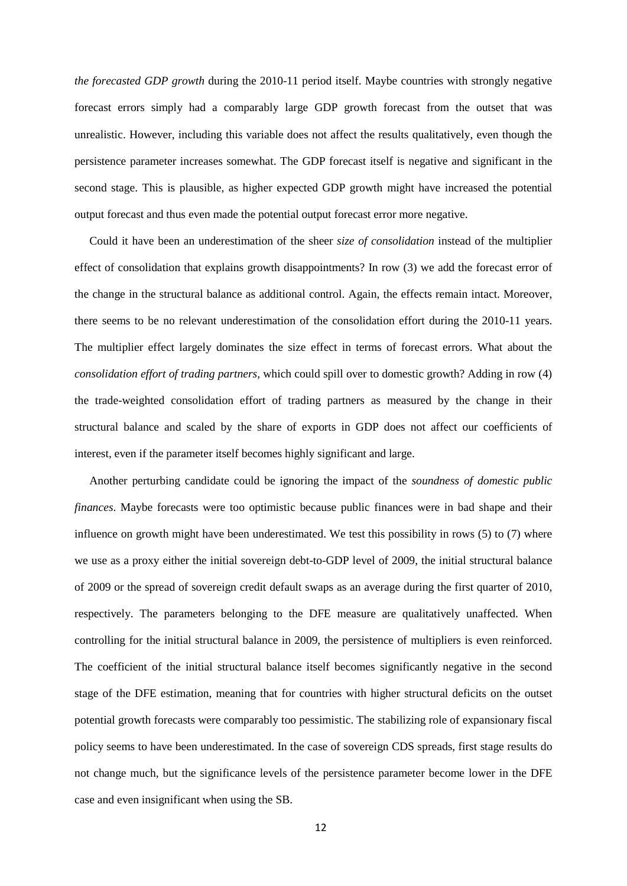*the forecasted GDP growth* during the 2010-11 period itself. Maybe countries with strongly negative forecast errors simply had a comparably large GDP growth forecast from the outset that was unrealistic. However, including this variable does not affect the results qualitatively, even though the persistence parameter increases somewhat. The GDP forecast itself is negative and significant in the second stage. This is plausible, as higher expected GDP growth might have increased the potential output forecast and thus even made the potential output forecast error more negative.

Could it have been an underestimation of the sheer *size of consolidation* instead of the multiplier effect of consolidation that explains growth disappointments? In row (3) we add the forecast error of the change in the structural balance as additional control. Again, the effects remain intact. Moreover, there seems to be no relevant underestimation of the consolidation effort during the 2010-11 years. The multiplier effect largely dominates the size effect in terms of forecast errors. What about the *consolidation effort of trading partners*, which could spill over to domestic growth? Adding in row (4) the trade-weighted consolidation effort of trading partners as measured by the change in their structural balance and scaled by the share of exports in GDP does not affect our coefficients of interest, even if the parameter itself becomes highly significant and large.

Another perturbing candidate could be ignoring the impact of the *soundness of domestic public finances*. Maybe forecasts were too optimistic because public finances were in bad shape and their influence on growth might have been underestimated. We test this possibility in rows (5) to (7) where we use as a proxy either the initial sovereign debt-to-GDP level of 2009, the initial structural balance of 2009 or the spread of sovereign credit default swaps as an average during the first quarter of 2010, respectively. The parameters belonging to the DFE measure are qualitatively unaffected. When controlling for the initial structural balance in 2009, the persistence of multipliers is even reinforced. The coefficient of the initial structural balance itself becomes significantly negative in the second stage of the DFE estimation, meaning that for countries with higher structural deficits on the outset potential growth forecasts were comparably too pessimistic. The stabilizing role of expansionary fiscal policy seems to have been underestimated. In the case of sovereign CDS spreads, first stage results do not change much, but the significance levels of the persistence parameter become lower in the DFE case and even insignificant when using the SB.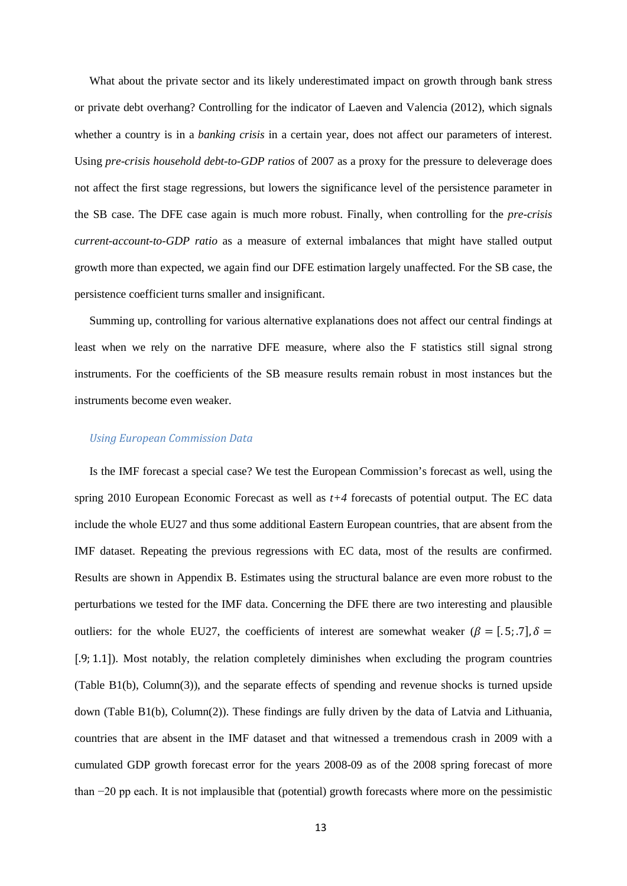What about the private sector and its likely underestimated impact on growth through bank stress or private debt overhang? Controlling for the indicator of Laeven and Valencia (2012), which signals whether a country is in a *banking crisis* in a certain year, does not affect our parameters of interest. Using *pre-crisis household debt-to-GDP ratios* of 2007 as a proxy for the pressure to deleverage does not affect the first stage regressions, but lowers the significance level of the persistence parameter in the SB case. The DFE case again is much more robust. Finally, when controlling for the *pre-crisis current-account-to-GDP ratio* as a measure of external imbalances that might have stalled output growth more than expected, we again find our DFE estimation largely unaffected. For the SB case, the persistence coefficient turns smaller and insignificant.

Summing up, controlling for various alternative explanations does not affect our central findings at least when we rely on the narrative DFE measure, where also the F statistics still signal strong instruments. For the coefficients of the SB measure results remain robust in most instances but the instruments become even weaker.

#### *Using European Commission Data*

Is the IMF forecast a special case? We test the European Commission's forecast as well, using the spring 2010 European Economic Forecast as well as *t+4* forecasts of potential output. The EC data include the whole EU27 and thus some additional Eastern European countries, that are absent from the IMF dataset. Repeating the previous regressions with EC data, most of the results are confirmed. Results are shown in Appendix B. Estimates using the structural balance are even more robust to the perturbations we tested for the IMF data. Concerning the DFE there are two interesting and plausible outliers: for the whole EU27, the coefficients of interest are somewhat weaker  $(\beta = [0.5, 0.7], \delta =$ [.9; 1.1]). Most notably, the relation completely diminishes when excluding the program countries (Table B1(b), Column(3)), and the separate effects of spending and revenue shocks is turned upside down (Table B1(b), Column(2)). These findings are fully driven by the data of Latvia and Lithuania, countries that are absent in the IMF dataset and that witnessed a tremendous crash in 2009 with a cumulated GDP growth forecast error for the years 2008-09 as of the 2008 spring forecast of more than −20 pp each. It is not implausible that (potential) growth forecasts where more on the pessimistic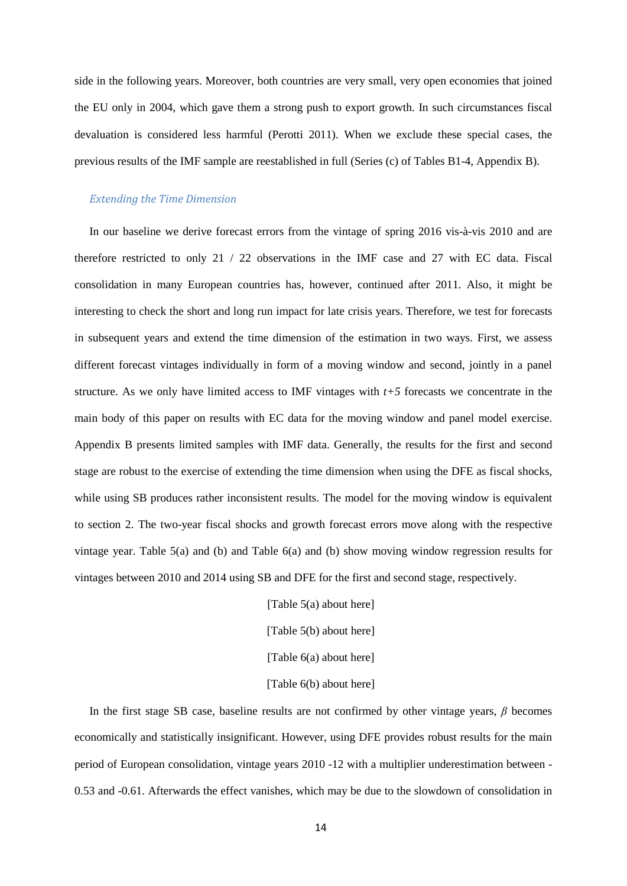side in the following years. Moreover, both countries are very small, very open economies that joined the EU only in 2004, which gave them a strong push to export growth. In such circumstances fiscal devaluation is considered less harmful (Perotti 2011). When we exclude these special cases, the previous results of the IMF sample are reestablished in full (Series (c) of Tables B1-4, Appendix B).

#### *Extending the Time Dimension*

In our baseline we derive forecast errors from the vintage of spring 2016 vis-à-vis 2010 and are therefore restricted to only 21 / 22 observations in the IMF case and 27 with EC data. Fiscal consolidation in many European countries has, however, continued after 2011. Also, it might be interesting to check the short and long run impact for late crisis years. Therefore, we test for forecasts in subsequent years and extend the time dimension of the estimation in two ways. First, we assess different forecast vintages individually in form of a moving window and second, jointly in a panel structure. As we only have limited access to IMF vintages with  $t+5$  forecasts we concentrate in the main body of this paper on results with EC data for the moving window and panel model exercise. Appendix B presents limited samples with IMF data. Generally, the results for the first and second stage are robust to the exercise of extending the time dimension when using the DFE as fiscal shocks, while using SB produces rather inconsistent results. The model for the moving window is equivalent to section 2. The two-year fiscal shocks and growth forecast errors move along with the respective vintage year. Table 5(a) and (b) and Table 6(a) and (b) show moving window regression results for vintages between 2010 and 2014 using SB and DFE for the first and second stage, respectively.

> [Table 5(a) about here] [Table 5(b) about here] [Table 6(a) about here] [Table 6(b) about here]

In the first stage SB case, baseline results are not confirmed by other vintage years, *β* becomes economically and statistically insignificant. However, using DFE provides robust results for the main period of European consolidation, vintage years 2010 -12 with a multiplier underestimation between - 0.53 and -0.61. Afterwards the effect vanishes, which may be due to the slowdown of consolidation in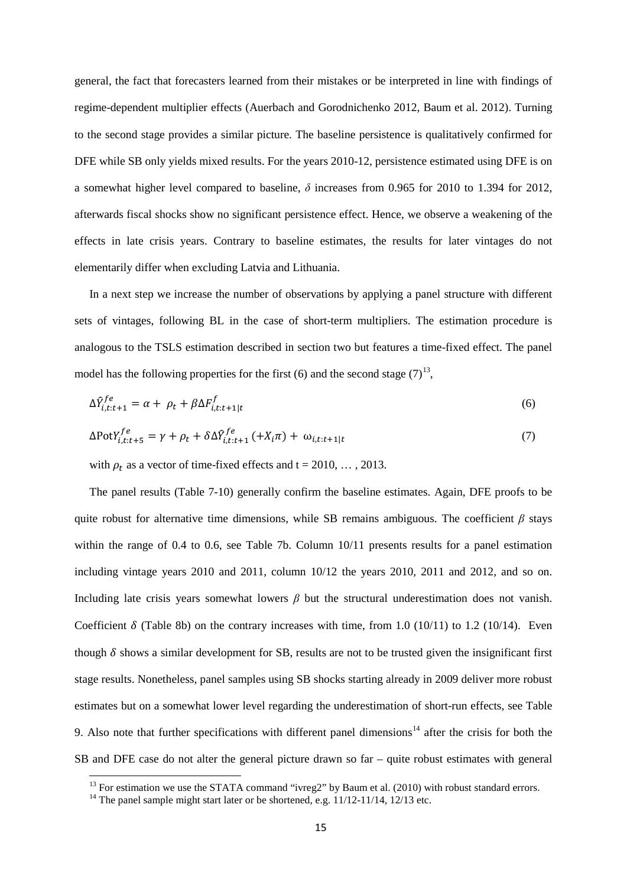general, the fact that forecasters learned from their mistakes or be interpreted in line with findings of regime-dependent multiplier effects (Auerbach and Gorodnichenko 2012, Baum et al. 2012). Turning to the second stage provides a similar picture. The baseline persistence is qualitatively confirmed for DFE while SB only yields mixed results. For the years 2010-12, persistence estimated using DFE is on a somewhat higher level compared to baseline, *δ* increases from 0.965 for 2010 to 1.394 for 2012, afterwards fiscal shocks show no significant persistence effect. Hence, we observe a weakening of the effects in late crisis years. Contrary to baseline estimates, the results for later vintages do not elementarily differ when excluding Latvia and Lithuania.

In a next step we increase the number of observations by applying a panel structure with different sets of vintages, following BL in the case of short-term multipliers. The estimation procedure is analogous to the TSLS estimation described in section two but features a time-fixed effect. The panel model has the following properties for the first (6) and the second stage  $(7)^{13}$ ,

$$
\Delta \hat{Y}_{i,t:t+1}^{fe} = \alpha + \rho_t + \beta \Delta F_{i,t:t+1|t}^f \tag{6}
$$

$$
\Delta \text{PotY}_{i,t:t+5}^{fe} = \gamma + \rho_t + \delta \Delta \hat{Y}_{i,t:t+1}^{fe} ( + X_i \pi) + \omega_{i,t:t+1|t}
$$
\n
$$
\tag{7}
$$

with  $\rho_t$  as a vector of time-fixed effects and t = 2010, ..., 2013.

The panel results (Table 7-10) generally confirm the baseline estimates. Again, DFE proofs to be quite robust for alternative time dimensions, while SB remains ambiguous. The coefficient  $\beta$  stays within the range of 0.4 to 0.6, see Table 7b. Column 10/11 presents results for a panel estimation including vintage years 2010 and 2011, column 10/12 the years 2010, 2011 and 2012, and so on. Including late crisis years somewhat lowers *β* but the structural underestimation does not vanish. Coefficient  $\delta$  (Table 8b) on the contrary increases with time, from 1.0 (10/11) to 1.2 (10/14). Even though  $\delta$  shows a similar development for SB, results are not to be trusted given the insignificant first stage results. Nonetheless, panel samples using SB shocks starting already in 2009 deliver more robust estimates but on a somewhat lower level regarding the underestimation of short-run effects, see Table 9. Also note that further specifications with different panel dimensions<sup>[14](#page-15-1)</sup> after the crisis for both the SB and DFE case do not alter the general picture drawn so far – quite robust estimates with general

 $\overline{a}$ 

<span id="page-15-1"></span><span id="page-15-0"></span><sup>&</sup>lt;sup>13</sup> For estimation we use the STATA command "ivreg2" by Baum et al. (2010) with robust standard errors. <sup>14</sup> The panel sample might start later or be shortened, e.g. 11/12-11/14, 12/13 etc.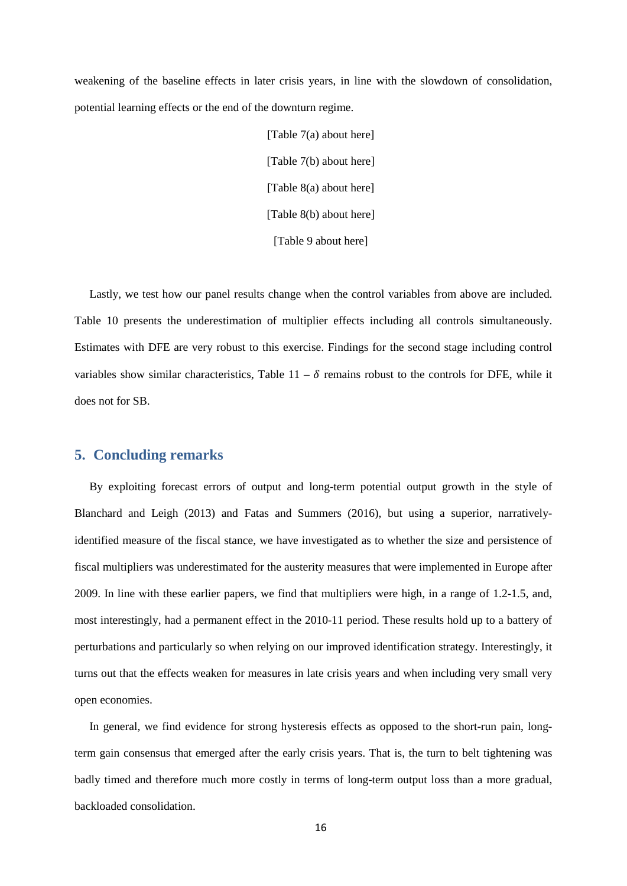weakening of the baseline effects in later crisis years, in line with the slowdown of consolidation, potential learning effects or the end of the downturn regime.

> [Table 7(a) about here] [Table 7(b) about here] [Table 8(a) about here] [Table 8(b) about here] [Table 9 about here]

Lastly, we test how our panel results change when the control variables from above are included. Table 10 presents the underestimation of multiplier effects including all controls simultaneously. Estimates with DFE are very robust to this exercise. Findings for the second stage including control variables show similar characteristics, Table 11 –  $\delta$  remains robust to the controls for DFE, while it does not for SB.

#### **5. Concluding remarks**

By exploiting forecast errors of output and long-term potential output growth in the style of Blanchard and Leigh (2013) and Fatas and Summers (2016), but using a superior, narrativelyidentified measure of the fiscal stance, we have investigated as to whether the size and persistence of fiscal multipliers was underestimated for the austerity measures that were implemented in Europe after 2009. In line with these earlier papers, we find that multipliers were high, in a range of 1.2-1.5, and, most interestingly, had a permanent effect in the 2010-11 period. These results hold up to a battery of perturbations and particularly so when relying on our improved identification strategy. Interestingly, it turns out that the effects weaken for measures in late crisis years and when including very small very open economies.

In general, we find evidence for strong hysteresis effects as opposed to the short-run pain, longterm gain consensus that emerged after the early crisis years. That is, the turn to belt tightening was badly timed and therefore much more costly in terms of long-term output loss than a more gradual, backloaded consolidation.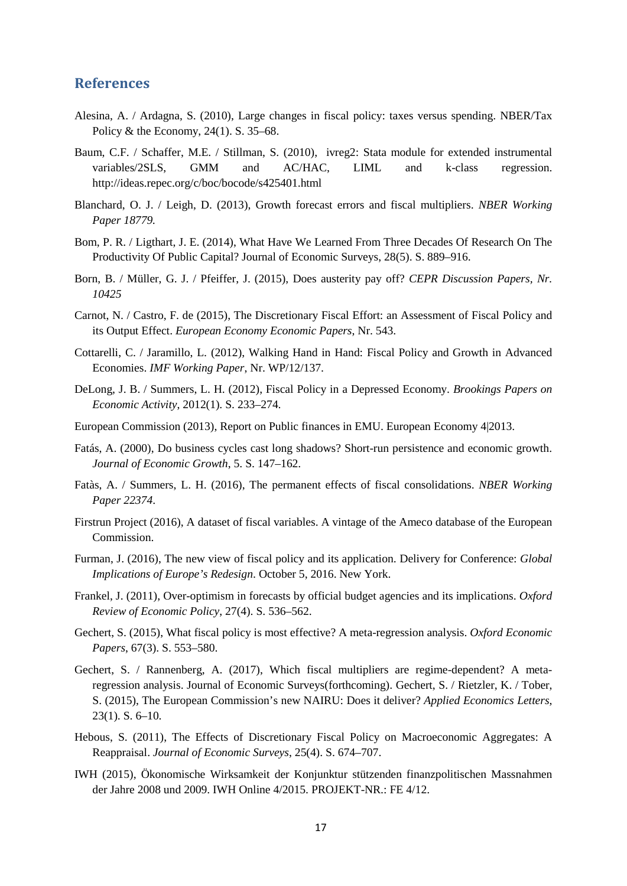#### **References**

- Alesina, A. / Ardagna, S. (2010), Large changes in fiscal policy: taxes versus spending. NBER/Tax Policy & the Economy, 24(1). S. 35–68.
- Baum, C.F. / Schaffer, M.E. / Stillman, S. (2010), ivreg2: Stata module for extended instrumental variables/2SLS, GMM and AC/HAC, LIML and k-class regression. http://ideas.repec.org/c/boc/bocode/s425401.html
- Blanchard, O. J. / Leigh, D. (2013), Growth forecast errors and fiscal multipliers. *NBER Working Paper 18779.*
- Bom, P. R. / Ligthart, J. E. (2014), What Have We Learned From Three Decades Of Research On The Productivity Of Public Capital? Journal of Economic Surveys, 28(5). S. 889–916.
- Born, B. / Müller, G. J. / Pfeiffer, J. (2015), Does austerity pay off? *CEPR Discussion Papers, Nr. 10425*
- Carnot, N. / Castro, F. de (2015), The Discretionary Fiscal Effort: an Assessment of Fiscal Policy and its Output Effect. *European Economy Economic Papers*, Nr. 543.
- Cottarelli, C. / Jaramillo, L. (2012), Walking Hand in Hand: Fiscal Policy and Growth in Advanced Economies. *IMF Working Paper*, Nr. WP/12/137.
- DeLong, J. B. / Summers, L. H. (2012), Fiscal Policy in a Depressed Economy. *Brookings Papers on Economic Activity*, 2012(1). S. 233–274.
- European Commission (2013), Report on Public finances in EMU. European Economy 4|2013.
- Fatás, A. (2000), Do business cycles cast long shadows? Short-run persistence and economic growth. *Journal of Economic Growth*, 5. S. 147–162.
- Fatàs, A. / Summers, L. H. (2016), The permanent effects of fiscal consolidations. *NBER Working Paper 22374*.
- Firstrun Project (2016), A dataset of fiscal variables. A vintage of the Ameco database of the European Commission.
- Furman, J. (2016), The new view of fiscal policy and its application. Delivery for Conference: *Global Implications of Europe's Redesign*. October 5, 2016. New York.
- Frankel, J. (2011), Over-optimism in forecasts by official budget agencies and its implications. *Oxford Review of Economic Policy*, 27(4). S. 536–562.
- Gechert, S. (2015), What fiscal policy is most effective? A meta-regression analysis. *Oxford Economic Papers*, 67(3). S. 553–580.
- Gechert, S. / Rannenberg, A. (2017), Which fiscal multipliers are regime-dependent? A metaregression analysis. Journal of Economic Surveys(forthcoming). Gechert, S. / Rietzler, K. / Tober, S. (2015), The European Commission's new NAIRU: Does it deliver? *Applied Economics Letters*, 23(1). S. 6–10.
- Hebous, S. (2011), The Effects of Discretionary Fiscal Policy on Macroeconomic Aggregates: A Reappraisal. *Journal of Economic Surveys*, 25(4). S. 674–707.
- IWH (2015), Ökonomische Wirksamkeit der Konjunktur stützenden finanzpolitischen Massnahmen der Jahre 2008 und 2009. IWH Online 4/2015. PROJEKT-NR.: FE 4/12.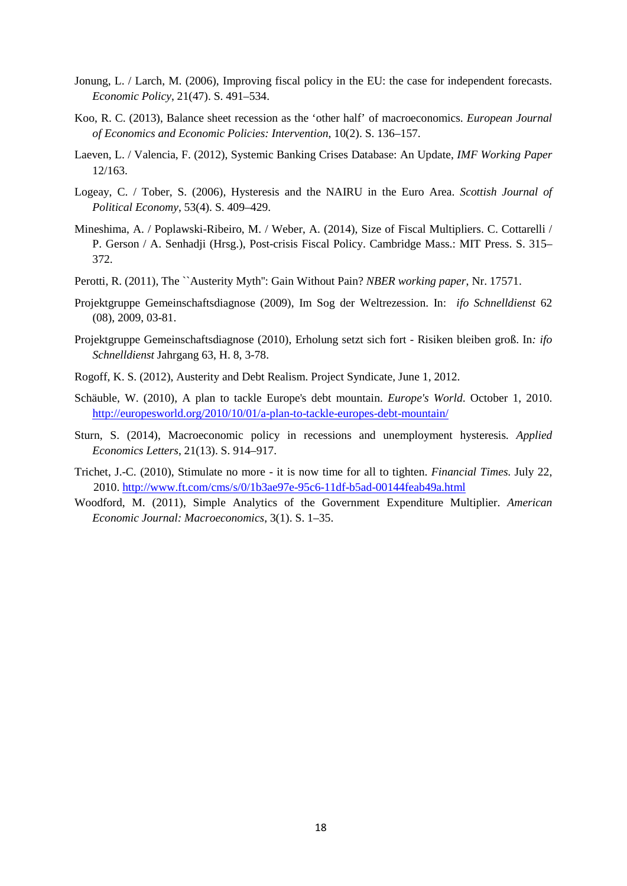- Jonung, L. / Larch, M. (2006), Improving fiscal policy in the EU: the case for independent forecasts. *Economic Policy*, 21(47). S. 491–534.
- Koo, R. C. (2013), Balance sheet recession as the 'other half' of macroeconomics. *European Journal of Economics and Economic Policies: Intervention*, 10(2). S. 136–157.
- Laeven, L. / Valencia, F. (2012), Systemic Banking Crises Database: An Update, *IMF Working Paper* 12/163.
- Logeay, C. / Tober, S. (2006), Hysteresis and the NAIRU in the Euro Area. *Scottish Journal of Political Economy*, 53(4). S. 409–429.
- Mineshima, A. / Poplawski-Ribeiro, M. / Weber, A. (2014), Size of Fiscal Multipliers. C. Cottarelli / P. Gerson / A. Senhadji (Hrsg.), Post-crisis Fiscal Policy. Cambridge Mass.: MIT Press. S. 315– 372.
- Perotti, R. (2011), The ``Austerity Myth'': Gain Without Pain? *NBER working paper*, Nr. 17571.
- Projektgruppe Gemeinschaftsdiagnose (2009), Im Sog der Weltrezession. In: *ifo Schnelldienst* 62 (08), 2009, 03-81.
- Projektgruppe Gemeinschaftsdiagnose (2010), Erholung setzt sich fort Risiken bleiben groß. In*: ifo Schnelldienst* Jahrgang 63, H. 8, 3-78.
- Rogoff, K. S. (2012), Austerity and Debt Realism. Project Syndicate, June 1, 2012.
- Schäuble, W. (2010), A plan to tackle Europe's debt mountain. *Europe's World*. October 1, 2010. <http://europesworld.org/2010/10/01/a-plan-to-tackle-europes-debt-mountain/>
- Sturn, S. (2014), Macroeconomic policy in recessions and unemployment hysteresis. *Applied Economics Letters*, 21(13). S. 914–917.
- Trichet, J.-C. (2010), Stimulate no more it is now time for all to tighten. *Financial Times*. July 22, 2010.<http://www.ft.com/cms/s/0/1b3ae97e-95c6-11df-b5ad-00144feab49a.html>
- Woodford, M. (2011), Simple Analytics of the Government Expenditure Multiplier. *American Economic Journal: Macroeconomics*, 3(1). S. 1–35.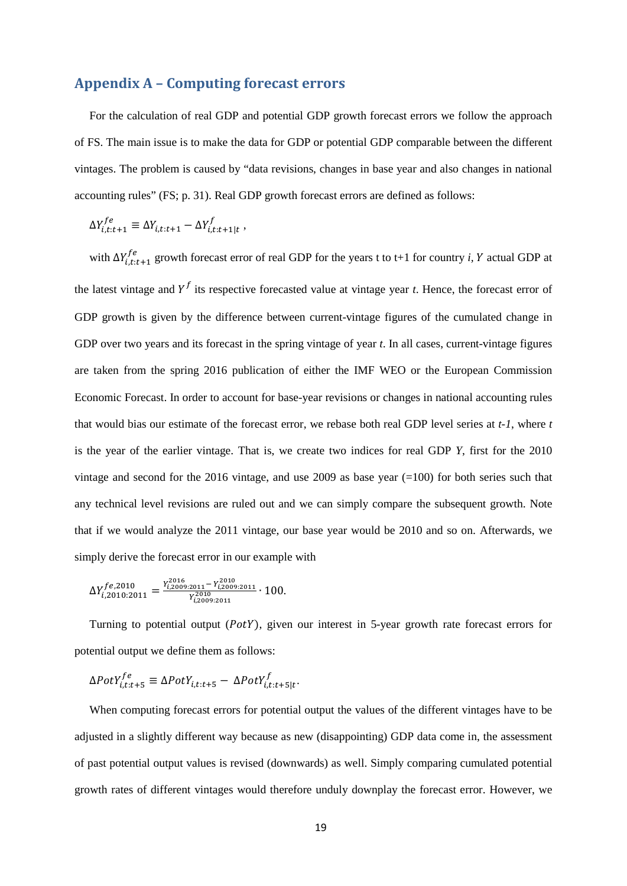#### **Appendix A – Computing forecast errors**

For the calculation of real GDP and potential GDP growth forecast errors we follow the approach of FS. The main issue is to make the data for GDP or potential GDP comparable between the different vintages. The problem is caused by "data revisions, changes in base year and also changes in national accounting rules" (FS; p. 31). Real GDP growth forecast errors are defined as follows:

$$
\Delta Y_{i,t:t+1}^{fe} \equiv \Delta Y_{i,t:t+1} - \Delta Y_{i,t:t+1|t}^{f},
$$

with  $\Delta Y_{i,t:t+1}^{fe}$  growth forecast error of real GDP for the years t to t+1 for country *i*, *Y* actual GDP at the latest vintage and  $Y^f$  its respective forecasted value at vintage year *t*. Hence, the forecast error of GDP growth is given by the difference between current-vintage figures of the cumulated change in GDP over two years and its forecast in the spring vintage of year *t*. In all cases, current-vintage figures are taken from the spring 2016 publication of either the IMF WEO or the European Commission Economic Forecast. In order to account for base-year revisions or changes in national accounting rules that would bias our estimate of the forecast error, we rebase both real GDP level series at *t-1*, where *t* is the year of the earlier vintage. That is, we create two indices for real GDP *Y*, first for the 2010 vintage and second for the 2016 vintage, and use 2009 as base year  $(=100)$  for both series such that any technical level revisions are ruled out and we can simply compare the subsequent growth. Note that if we would analyze the 2011 vintage, our base year would be 2010 and so on. Afterwards, we simply derive the forecast error in our example with

$$
\Delta Y_{i,2010:2011}^{fe,2010} = \frac{Y_{i,2009:2011}^{2016} - Y_{i,2009:2011}^{2010}}{Y_{i,2009:2011}^{2010}} \cdot 100.
$$

Turning to potential output  $(PotY)$ , given our interest in 5-year growth rate forecast errors for potential output we define them as follows:

$$
\Delta PotY_{i,t:t+5}^{fe} \equiv \Delta PotY_{i,t:t+5} - \Delta PotY_{i,t:t+5|t}^{f}.
$$

When computing forecast errors for potential output the values of the different vintages have to be adjusted in a slightly different way because as new (disappointing) GDP data come in, the assessment of past potential output values is revised (downwards) as well. Simply comparing cumulated potential growth rates of different vintages would therefore unduly downplay the forecast error. However, we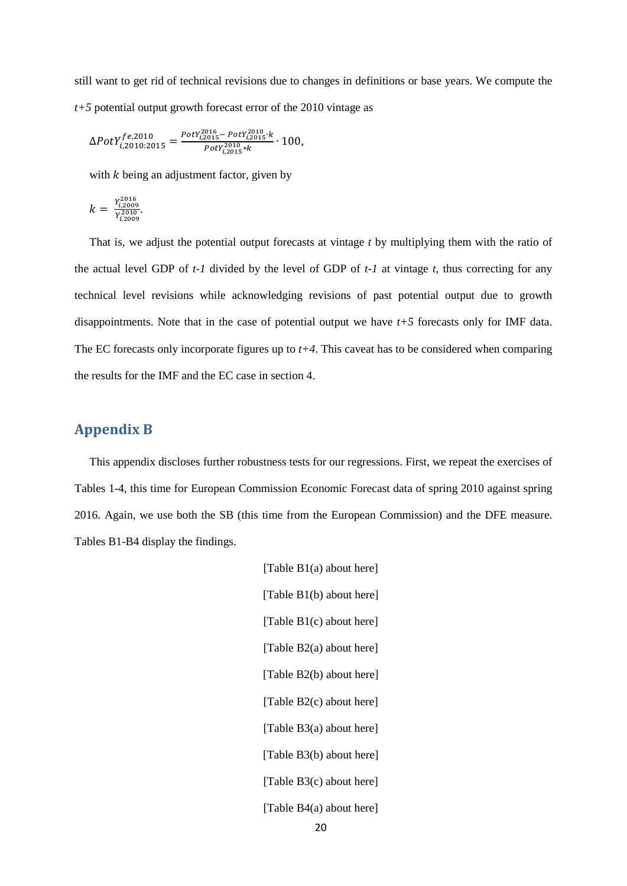still want to get rid of technical revisions due to changes in definitions or base years. We compute the *t+5* potential output growth forecast error of the 2010 vintage as

$$
\Delta PotY_{i,2010:2015}^{fe,2010} = \frac{PotY_{i,2015}^{2016} - PotY_{i,2015}^{2010} \cdot k}{PotY_{i,2015}^{2010} \cdot k} \cdot 100,
$$

with  $k$  being an adjustment factor, given by

$$
k = \frac{Y_{i,2009}^{2016}}{Y_{i,2009}^{2010}}
$$

That is, we adjust the potential output forecasts at vintage *t* by multiplying them with the ratio of the actual level GDP of *t-1* divided by the level of GDP of *t-1* at vintage *t*, thus correcting for any technical level revisions while acknowledging revisions of past potential output due to growth disappointments. Note that in the case of potential output we have *t+5* forecasts only for IMF data. The EC forecasts only incorporate figures up to *t+4*. This caveat has to be considered when comparing the results for the IMF and the EC case in section 4.

#### **Appendix B**

This appendix discloses further robustness tests for our regressions. First, we repeat the exercises of Tables 1-4, this time for European Commission Economic Forecast data of spring 2010 against spring 2016. Again, we use both the SB (this time from the European Commission) and the DFE measure. Tables B1-B4 display the findings.

> [Table B1(a) about here] [Table B1(b) about here] [Table B1(c) about here] [Table B2(a) about here] [Table B2(b) about here] [Table B2(c) about here] [Table B3(a) about here] [Table B3(b) about here] [Table B3(c) about here] [Table B4(a) about here] 20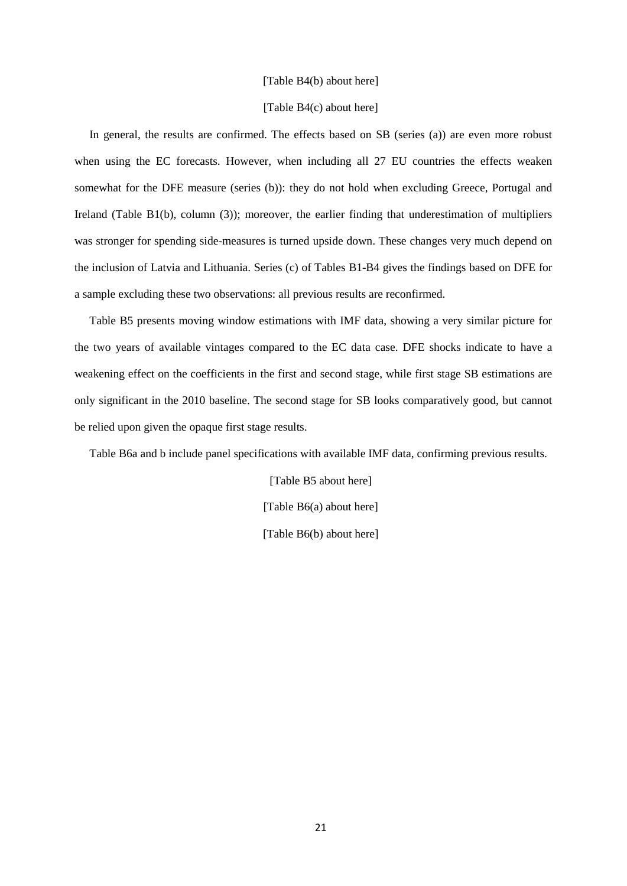#### [Table B4(b) about here]

#### [Table B4(c) about here]

In general, the results are confirmed. The effects based on SB (series (a)) are even more robust when using the EC forecasts. However, when including all 27 EU countries the effects weaken somewhat for the DFE measure (series (b)): they do not hold when excluding Greece, Portugal and Ireland (Table B1(b), column (3)); moreover, the earlier finding that underestimation of multipliers was stronger for spending side-measures is turned upside down. These changes very much depend on the inclusion of Latvia and Lithuania. Series (c) of Tables B1-B4 gives the findings based on DFE for a sample excluding these two observations: all previous results are reconfirmed.

Table B5 presents moving window estimations with IMF data, showing a very similar picture for the two years of available vintages compared to the EC data case. DFE shocks indicate to have a weakening effect on the coefficients in the first and second stage, while first stage SB estimations are only significant in the 2010 baseline. The second stage for SB looks comparatively good, but cannot be relied upon given the opaque first stage results.

Table B6a and b include panel specifications with available IMF data, confirming previous results.

[Table B5 about here] [Table B6(a) about here] [Table B6(b) about here]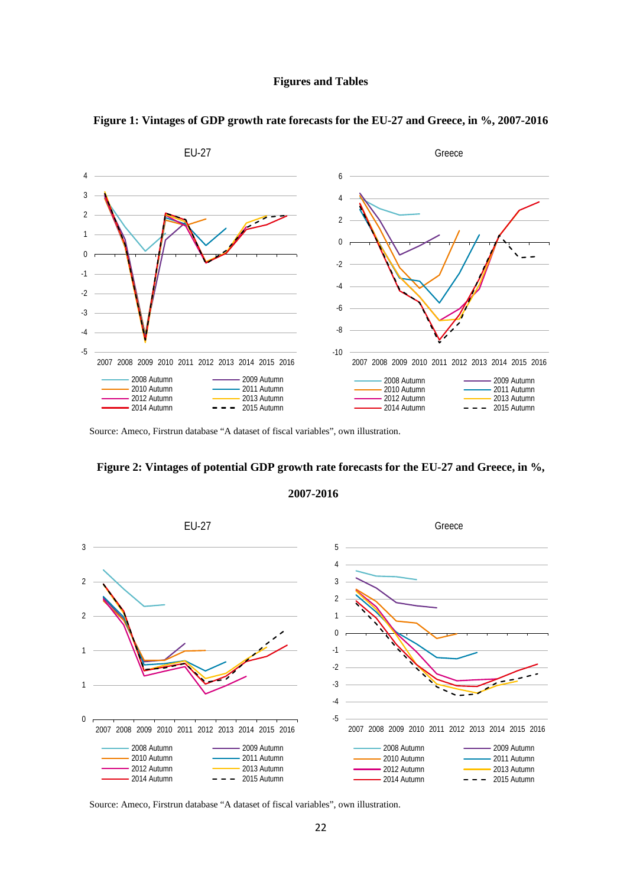#### **Figures and Tables**



#### **Figure 1: Vintages of GDP growth rate forecasts for the EU-27 and Greece, in %, 2007-2016**

Source: Ameco, Firstrun database "A dataset of fiscal variables", own illustration.

#### **Figure 2: Vintages of potential GDP growth rate forecasts for the EU-27 and Greece, in %,**





Source: Ameco, Firstrun database "A dataset of fiscal variables", own illustration.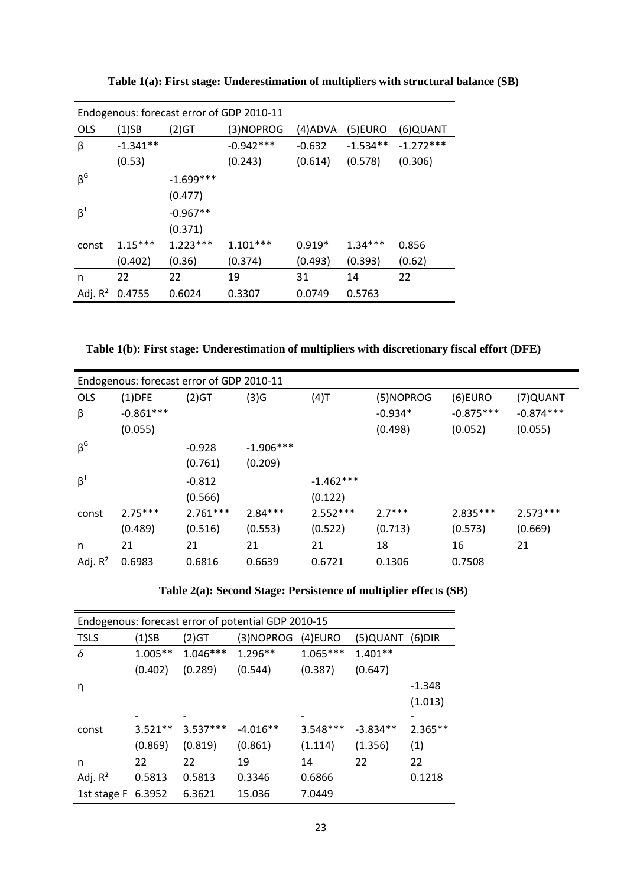|            | Endogenous: forecast error of GDP 2010-11 |             |             |          |            |             |  |  |  |
|------------|-------------------------------------------|-------------|-------------|----------|------------|-------------|--|--|--|
| <b>OLS</b> | (1)SB                                     | (2)GT       | (3)NOPROG   | (4)ADVA  | $(5)$ EURO | (6)QUANT    |  |  |  |
| β          | $-1.341**$                                |             | $-0.942***$ | $-0.632$ | $-1.534**$ | $-1.272***$ |  |  |  |
|            | (0.53)                                    |             | (0.243)     | (0.614)  | (0.578)    | (0.306)     |  |  |  |
| $\beta^G$  |                                           | $-1.699***$ |             |          |            |             |  |  |  |
|            |                                           | (0.477)     |             |          |            |             |  |  |  |
| $\beta^T$  |                                           | $-0.967**$  |             |          |            |             |  |  |  |
|            |                                           | (0.371)     |             |          |            |             |  |  |  |
| const      | $1.15***$                                 | $1.223***$  | $1.101***$  | $0.919*$ | $1.34***$  | 0.856       |  |  |  |
|            | (0.402)                                   | (0.36)      | (0.374)     | (0.493)  | (0.393)    | (0.62)      |  |  |  |
| n          | 22                                        | 22          | 19          | 31       | 14         | 22          |  |  |  |
| Adj. $R^2$ | 0.4755                                    | 0.6024      | 0.3307      | 0.0749   | 0.5763     |             |  |  |  |

**Table 1(a): First stage: Underestimation of multipliers with structural balance (SB)**

**Table 1(b): First stage: Underestimation of multipliers with discretionary fiscal effort (DFE)**

| Endogenous: forecast error of GDP 2010-11 |             |            |             |             |           |             |             |  |
|-------------------------------------------|-------------|------------|-------------|-------------|-----------|-------------|-------------|--|
| <b>OLS</b>                                | $(1)$ DFE   | (2)GT      | (3)G        | (4)T        | (5)NOPROG | $(6)$ EURO  | (7) QUANT   |  |
| β                                         | $-0.861***$ |            |             |             | $-0.934*$ | $-0.875***$ | $-0.874***$ |  |
|                                           | (0.055)     |            |             |             | (0.498)   | (0.052)     | (0.055)     |  |
| $\beta^G$                                 |             | $-0.928$   | $-1.906***$ |             |           |             |             |  |
|                                           |             | (0.761)    | (0.209)     |             |           |             |             |  |
| $\beta^T$                                 |             | $-0.812$   |             | $-1.462***$ |           |             |             |  |
|                                           |             | (0.566)    |             | (0.122)     |           |             |             |  |
| const                                     | $2.75***$   | $2.761***$ | $2.84***$   | $2.552***$  | $2.7***$  | $2.835***$  | $2.573***$  |  |
|                                           | (0.489)     | (0.516)    | (0.553)     | (0.522)     | (0.713)   | (0.573)     | (0.669)     |  |
| n                                         | 21          | 21         | 21          | 21          | 18        | 16          | 21          |  |
| Adj. $R^2$                                | 0.6983      | 0.6816     | 0.6639      | 0.6721      | 0.1306    | 0.7508      |             |  |

**Table 2(a): Second Stage: Persistence of multiplier effects (SB)**

| Endogenous: forecast error of potential GDP 2010-15 |           |            |            |            |                 |           |  |  |
|-----------------------------------------------------|-----------|------------|------------|------------|-----------------|-----------|--|--|
| <b>TSLS</b>                                         | $(1)$ SB  | (2)GT      | (3)NOPROG  | (4)EURO    | (5)QUANT (6)DIR |           |  |  |
| δ                                                   | $1.005**$ | $1.046***$ | $1.296**$  | $1.065***$ | $1.401**$       |           |  |  |
|                                                     | (0.402)   | (0.289)    | (0.544)    | (0.387)    | (0.647)         |           |  |  |
| η                                                   |           |            |            |            |                 | $-1.348$  |  |  |
|                                                     |           |            |            |            |                 | (1.013)   |  |  |
|                                                     |           |            |            |            |                 |           |  |  |
| const                                               | $3.521**$ | $3.537***$ | $-4.016**$ | $3.548***$ | $-3.834**$      | $2.365**$ |  |  |
|                                                     | (0.869)   | (0.819)    | (0.861)    | (1.114)    | (1.356)         | (1)       |  |  |
| n                                                   | 22        | 22         | 19         | 14         | 22              | 22        |  |  |
| Adj. $R^2$                                          | 0.5813    | 0.5813     | 0.3346     | 0.6866     |                 | 0.1218    |  |  |
| 1st stage F 6.3952                                  |           | 6.3621     | 15.036     | 7.0449     |                 |           |  |  |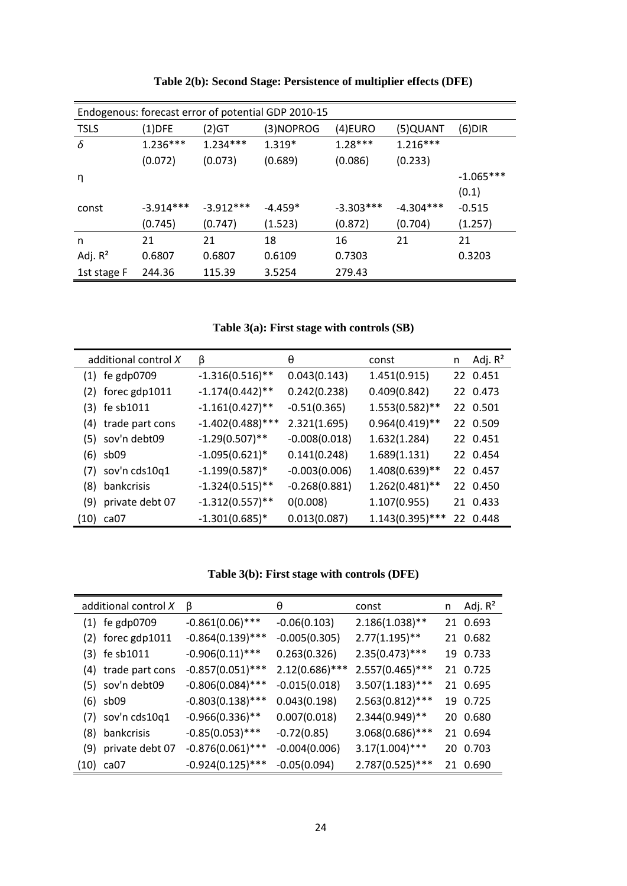|             |             |             | Endogenous: forecast error of potential GDP 2010-15 |             |             |             |
|-------------|-------------|-------------|-----------------------------------------------------|-------------|-------------|-------------|
| <b>TSLS</b> | $(1)$ DFE   | $(2)$ GT    | (3)NOPROG                                           | (4)EURO     | (5)QUANT    | $(6)$ DIR   |
| δ           | $1.236***$  | $1.234***$  | $1.319*$                                            | $1.28***$   | $1.216***$  |             |
|             | (0.072)     | (0.073)     | (0.689)                                             | (0.086)     | (0.233)     |             |
| η           |             |             |                                                     |             |             | $-1.065***$ |
|             |             |             |                                                     |             |             | (0.1)       |
| const       | $-3.914***$ | $-3.912***$ | $-4.459*$                                           | $-3.303***$ | $-4.304***$ | $-0.515$    |
|             | (0.745)     | (0.747)     | (1.523)                                             | (0.872)     | (0.704)     | (1.257)     |
| n           | 21          | 21          | 18                                                  | 16          | 21          | 21          |
| Adj. $R^2$  | 0.6807      | 0.6807      | 0.6109                                              | 0.7303      |             | 0.3203      |
| 1st stage F | 244.36      | 115.39      | 3.5254                                              | 279.43      |             |             |

**Table 2(b): Second Stage: Persistence of multiplier effects (DFE)**

**Table 3(a): First stage with controls (SB)**

|      | additional control X | β                   | θ               | const              | n  | Adj. $R^2$ |
|------|----------------------|---------------------|-----------------|--------------------|----|------------|
| (1)  | fe gdp0709           | $-1.316(0.516)$ **  | 0.043(0.143)    | 1.451(0.915)       |    | 22 0.451   |
|      | $(2)$ forec gdp1011  | $-1.174(0.442)$ **  | 0.242(0.238)    | 0.409(0.842)       |    | 22 0.473   |
|      | $(3)$ fe sb1011      | $-1.161(0.427)$ **  | $-0.51(0.365)$  | $1.553(0.582)$ **  |    | 22 0.501   |
| (4)  | trade part cons      | $-1.402(0.488)$ *** | 2.321(1.695)    | $0.964(0.419)$ **  |    | 22 0.509   |
|      | (5) sov'n debt09     | $-1.29(0.507)$ **   | $-0.008(0.018)$ | 1.632(1.284)       |    | 22 0.451   |
|      | $(6)$ sb09           | $-1.095(0.621)$ *   | 0.141(0.248)    | 1.689(1.131)       |    | 22 0.454   |
|      | (7) sov'n cds10q1    | $-1.199(0.587)$ *   | $-0.003(0.006)$ | $1.408(0.639)$ **  |    | 22 0.457   |
| (8)  | bankcrisis           | $-1.324(0.515)$ **  | $-0.268(0.881)$ | $1.262(0.481)$ **  |    | 22 0.450   |
| (9)  | private debt 07      | $-1.312(0.557)$ **  | 0(0.008)        | 1.107(0.955)       |    | 21 0.433   |
| (10) | ca07                 | $-1.301(0.685)$ *   | 0.013(0.087)    | $1.143(0.395)$ *** | 22 | 0.448      |

**Table 3(b): First stage with controls (DFE)**

| additional control X | β                   | θ                | const              | n | Adj. $R^2$ |
|----------------------|---------------------|------------------|--------------------|---|------------|
| $(1)$ fe gdp0709     | $-0.861(0.06)$ ***  | $-0.06(0.103)$   | $2.186(1.038)$ **  |   | 21 0.693   |
| $(2)$ forec gdp1011  | $-0.864(0.139)$ *** | $-0.005(0.305)$  | $2.77(1.195)$ **   |   | 21 0.682   |
| $(3)$ fe sb1011      | $-0.906(0.11)$ ***  | 0.263(0.326)     | $2.35(0.473)$ ***  |   | 19 0.733   |
| (4) trade part cons  | $-0.857(0.051)$ *** | $2.12(0.686)***$ | $2.557(0.465)$ *** |   | 21 0.725   |
| $(5)$ sov'n debt09   | $-0.806(0.084)$ *** | $-0.015(0.018)$  | $3.507(1.183)$ *** |   | 21 0.695   |
| $(6)$ sb09           | $-0.803(0.138)$ *** | 0.043(0.198)     | $2.563(0.812)$ *** |   | 19 0.725   |
| $(7)$ sov'n cds10q1  | $-0.966(0.336)$ **  | 0.007(0.018)     | $2.344(0.949)$ **  |   | 20 0.680   |
| (8) bankcrisis       | $-0.85(0.053)$ ***  | $-0.72(0.85)$    | $3.068(0.686)$ *** |   | 21 0.694   |
| (9) private debt 07  | $-0.876(0.061)$ *** | $-0.004(0.006)$  | $3.17(1.004)$ ***  |   | 20 0.703   |
| (10) ca07            | $-0.924(0.125)$ *** | $-0.05(0.094)$   | 2.787(0.525)***    |   | 21 0.690   |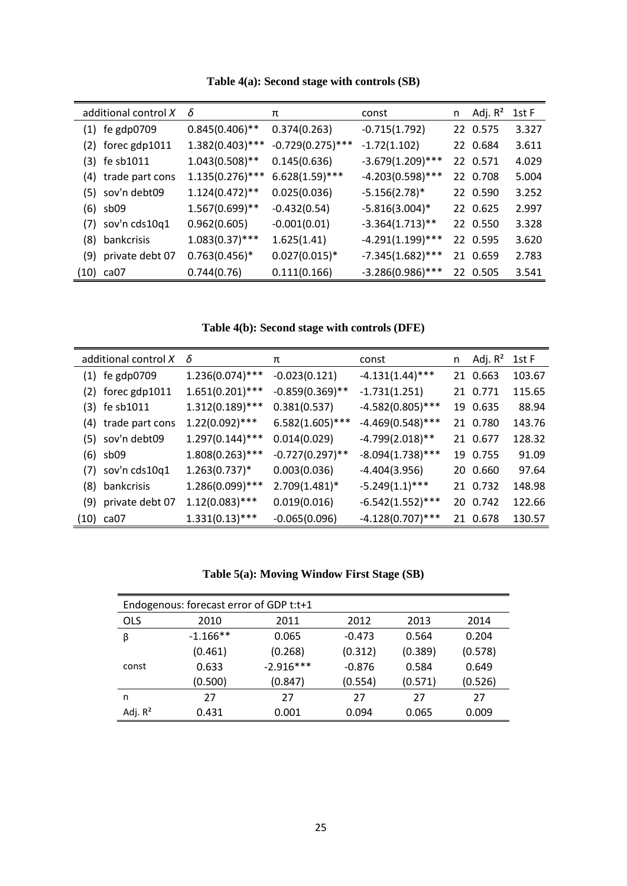| additional control X | δ                  | π                   | const               | n | Adj. R <sup>2</sup> | 1st F |
|----------------------|--------------------|---------------------|---------------------|---|---------------------|-------|
| $(1)$ fe gdp0709     | $0.845(0.406)$ **  | 0.374(0.263)        | $-0.715(1.792)$     |   | 22 0.575            | 3.327 |
| $(2)$ forec gdp1011  | $1.382(0.403)$ *** | $-0.729(0.275)$ *** | $-1.72(1.102)$      |   | 22 0.684            | 3.611 |
| $(3)$ fe sb1011      | $1.043(0.508)$ **  | 0.145(0.636)        | $-3.679(1.209)$ *** |   | 22 0.571            | 4.029 |
| (4) trade part cons  | $1.135(0.276)$ *** | $6.628(1.59)$ ***   | $-4.203(0.598)$ *** |   | 22 0.708            | 5.004 |
| (5) sov'n debt09     | $1.124(0.472)$ **  | 0.025(0.036)        | $-5.156(2.78)$ *    |   | 22 0.590            | 3.252 |
| $(6)$ sb09           | $1.567(0.699)$ **  | $-0.432(0.54)$      | $-5.816(3.004)^*$   |   | 22 0.625            | 2.997 |
| $(7)$ sov'n cds10q1  | 0.962(0.605)       | $-0.001(0.01)$      | $-3.364(1.713)$ **  |   | 22 0.550            | 3.328 |
| (8) bankcrisis       | $1.083(0.37)$ ***  | 1.625(1.41)         | $-4.291(1.199)$ *** |   | 22 0.595            | 3.620 |
| (9) private debt 07  | $0.763(0.456)*$    | $0.027(0.015)*$     | $-7.345(1.682)$ *** |   | 21 0.659            | 2.783 |
| $(10)$ ca07          | 0.744(0.76)        | 0.111(0.166)        | $-3.286(0.986)$ *** |   | 22 0.505            | 3.541 |

**Table 4(a): Second stage with controls (SB)**

**Table 4(b): Second stage with controls (DFE)**

| additional control X | $\delta$           | π                  | const               | n | Adj. R <sup>2</sup> | 1st F  |
|----------------------|--------------------|--------------------|---------------------|---|---------------------|--------|
| $(1)$ fe gdp0709     | $1.236(0.074)$ *** | $-0.023(0.121)$    | $-4.131(1.44)$ ***  |   | 21 0.663            | 103.67 |
| $(2)$ forec gdp1011  | $1.651(0.201)$ *** | $-0.859(0.369)$ ** | $-1.731(1.251)$     |   | 21 0.771            | 115.65 |
| $(3)$ fe sb1011      | $1.312(0.189)$ *** | 0.381(0.537)       | $-4.582(0.805)$ *** |   | 19 0.635            | 88.94  |
| (4) trade part cons  | $1.22(0.092)$ ***  | $6.582(1.605)$ *** | $-4.469(0.548)$ *** |   | 21 0.780            | 143.76 |
| (5) sov'n debt09     | $1.297(0.144)$ *** | 0.014(0.029)       | $-4.799(2.018)$ **  |   | 21 0.677            | 128.32 |
| $(6)$ sb09           | $1.808(0.263)***$  | $-0.727(0.297)$ ** | $-8.094(1.738)$ *** |   | 19 0.755            | 91.09  |
| $(7)$ sov'n cds10q1  | $1.263(0.737)^*$   | 0.003(0.036)       | $-4.404(3.956)$     |   | 20 0.660            | 97.64  |
| (8) bankcrisis       | 1.286(0.099)***    | $2.709(1.481)$ *   | $-5.249(1.1)$ ***   |   | 21 0.732            | 148.98 |
| (9) private debt 07  | $1.12(0.083)***$   | 0.019(0.016)       | $-6.542(1.552)$ *** |   | 20 0.742            | 122.66 |
| $(10)$ ca07          | $1.331(0.13)$ ***  | $-0.065(0.096)$    | $-4.128(0.707)$ *** |   | 21 0.678            | 130.57 |

### **Table 5(a): Moving Window First Stage (SB)**

| Endogenous: forecast error of GDP t:t+1 |            |             |          |         |         |  |  |  |  |
|-----------------------------------------|------------|-------------|----------|---------|---------|--|--|--|--|
| <b>OLS</b>                              | 2010       | 2011        | 2012     | 2013    | 2014    |  |  |  |  |
| β                                       | $-1.166**$ | 0.065       | $-0.473$ | 0.564   | 0.204   |  |  |  |  |
|                                         | (0.461)    | (0.268)     | (0.312)  | (0.389) | (0.578) |  |  |  |  |
| const                                   | 0.633      | $-2.916***$ | $-0.876$ | 0.584   | 0.649   |  |  |  |  |
|                                         | (0.500)    | (0.847)     | (0.554)  | (0.571) | (0.526) |  |  |  |  |
| n                                       | 27         | 27          | 27       | 27      | 27      |  |  |  |  |
| Adj. $R^2$                              | 0.431      | 0.001       | 0.094    | 0.065   | 0.009   |  |  |  |  |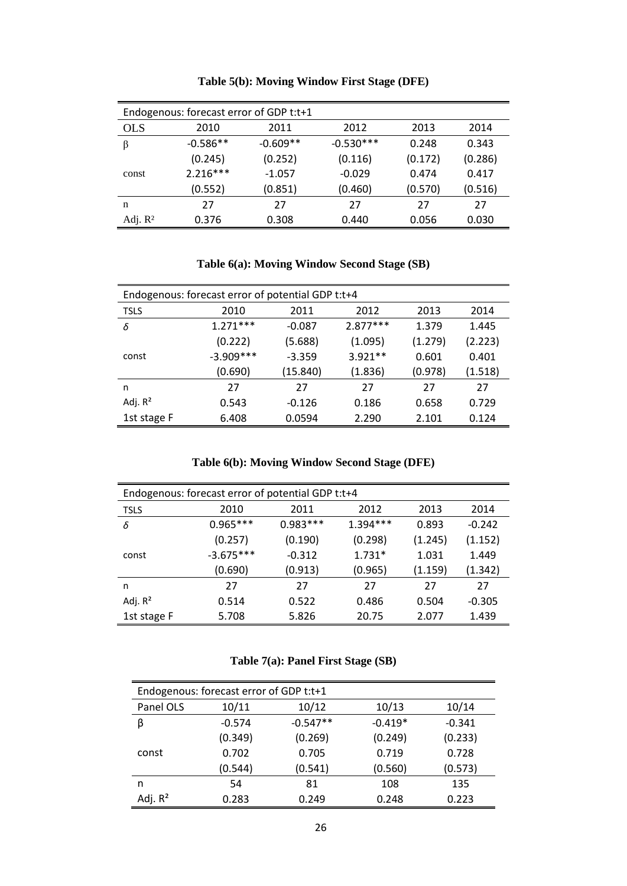| Endogenous: forecast error of GDP t:t+1 |            |            |             |         |         |  |  |  |
|-----------------------------------------|------------|------------|-------------|---------|---------|--|--|--|
| <b>OLS</b>                              | 2010       | 2011       | 2012        | 2013    | 2014    |  |  |  |
| β                                       | $-0.586**$ | $-0.609**$ | $-0.530***$ | 0.248   | 0.343   |  |  |  |
|                                         | (0.245)    | (0.252)    | (0.116)     | (0.172) | (0.286) |  |  |  |
| const                                   | $2.216***$ | $-1.057$   | $-0.029$    | 0.474   | 0.417   |  |  |  |
|                                         | (0.552)    | (0.851)    | (0.460)     | (0.570) | (0.516) |  |  |  |
| n                                       | 27         | 27         | 27          | 27      | 27      |  |  |  |
| Adj. $R^2$                              | 0.376      | 0.308      | 0.440       | 0.056   | 0.030   |  |  |  |

**Table 5(b): Moving Window First Stage (DFE)**

**Table 6(a): Moving Window Second Stage (SB)**

| Endogenous: forecast error of potential GDP t:t+4 |             |          |            |         |         |  |  |  |
|---------------------------------------------------|-------------|----------|------------|---------|---------|--|--|--|
| <b>TSLS</b>                                       | 2010        | 2011     | 2012       | 2013    | 2014    |  |  |  |
| δ                                                 | $1.271***$  | $-0.087$ | $2.877***$ | 1.379   | 1.445   |  |  |  |
|                                                   | (0.222)     | (5.688)  | (1.095)    | (1.279) | (2.223) |  |  |  |
| const                                             | $-3.909***$ | $-3.359$ | $3.921**$  | 0.601   | 0.401   |  |  |  |
|                                                   | (0.690)     | (15.840) | (1.836)    | (0.978) | (1.518) |  |  |  |
| n                                                 | 27          | 27       | 27         | 27      | 27      |  |  |  |
| Adj. $R^2$                                        | 0.543       | $-0.126$ | 0.186      | 0.658   | 0.729   |  |  |  |
| 1st stage F                                       | 6.408       | 0.0594   | 2.290      | 2.101   | 0.124   |  |  |  |

**Table 6(b): Moving Window Second Stage (DFE)**

| Endogenous: forecast error of potential GDP t:t+4 |                                      |            |            |         |          |  |  |
|---------------------------------------------------|--------------------------------------|------------|------------|---------|----------|--|--|
| <b>TSLS</b>                                       | 2010<br>2012<br>2013<br>2011<br>2014 |            |            |         |          |  |  |
| δ                                                 | $0.965***$                           | $0.983***$ | $1.394***$ | 0.893   | $-0.242$ |  |  |
|                                                   | (0.257)                              | (0.190)    | (0.298)    | (1.245) | (1.152)  |  |  |
| const                                             | $-3.675***$                          | $-0.312$   | $1.731*$   | 1.031   | 1.449    |  |  |
|                                                   | (0.690)                              | (0.913)    | (0.965)    | (1.159) | (1.342)  |  |  |
| n                                                 | 27                                   | 27         | 27         | 27      | 27       |  |  |
| Adj. $R^2$                                        | 0.514                                | 0.522      | 0.486      | 0.504   | $-0.305$ |  |  |
| 1st stage F                                       | 5.708                                | 5.826      | 20.75      | 2.077   | 1.439    |  |  |

**Table 7(a): Panel First Stage (SB)**

| Endogenous: forecast error of GDP t:t+1 |          |            |           |          |  |  |  |
|-----------------------------------------|----------|------------|-----------|----------|--|--|--|
| Panel OLS                               | 10/11    | 10/12      | 10/13     | 10/14    |  |  |  |
| β                                       | $-0.574$ | $-0.547**$ | $-0.419*$ | $-0.341$ |  |  |  |
|                                         | (0.349)  | (0.269)    | (0.249)   | (0.233)  |  |  |  |
| const                                   | 0.702    | 0.705      | 0.719     | 0.728    |  |  |  |
|                                         | (0.544)  | (0.541)    | (0.560)   | (0.573)  |  |  |  |
| n                                       | 54       | 81         | 108       | 135      |  |  |  |
| Adj. $R^2$                              | 0.283    | 0.249      | 0.248     | 0.223    |  |  |  |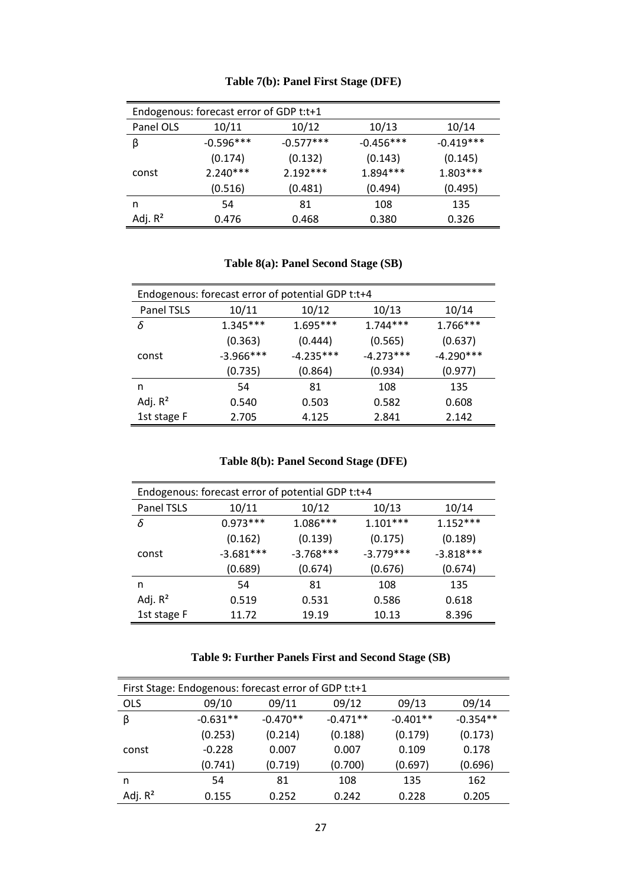| Endogenous: forecast error of GDP t:t+1 |             |             |             |             |  |  |
|-----------------------------------------|-------------|-------------|-------------|-------------|--|--|
| Panel OLS                               | 10/11       | 10/12       | 10/13       | 10/14       |  |  |
| β                                       | $-0.596***$ | $-0.577***$ | $-0.456***$ | $-0.419***$ |  |  |
|                                         | (0.174)     | (0.132)     | (0.143)     | (0.145)     |  |  |
| const                                   | $2.240***$  | $2.192***$  | $1.894***$  | $1.803***$  |  |  |
|                                         | (0.516)     | (0.481)     | (0.494)     | (0.495)     |  |  |
| n                                       | 54          | 81          | 108         | 135         |  |  |
| Adj. $R^2$                              | 0.476       | 0.468       | 0.380       | 0.326       |  |  |

#### **Table 7(b): Panel First Stage (DFE)**

**Table 8(a): Panel Second Stage (SB)**

| Endogenous: forecast error of potential GDP t:t+4 |             |             |             |             |  |  |  |
|---------------------------------------------------|-------------|-------------|-------------|-------------|--|--|--|
| Panel TSLS                                        | 10/11       | 10/12       | 10/13       | 10/14       |  |  |  |
| δ                                                 | $1.345***$  | $1.695***$  | $1.744***$  | $1.766***$  |  |  |  |
|                                                   | (0.363)     | (0.444)     | (0.565)     | (0.637)     |  |  |  |
| const                                             | $-3.966***$ | $-4.235***$ | $-4.273***$ | $-4.290***$ |  |  |  |
|                                                   | (0.735)     | (0.864)     | (0.934)     | (0.977)     |  |  |  |
| n                                                 | 54          | 81          | 108         | 135         |  |  |  |
| Adj. $R^2$                                        | 0.540       | 0.503       | 0.582       | 0.608       |  |  |  |
| 1st stage F                                       | 2.705       | 4.125       | 2.841       | 2.142       |  |  |  |

**Table 8(b): Panel Second Stage (DFE)**

| Endogenous: forecast error of potential GDP t:t+4 |             |             |             |             |  |  |  |
|---------------------------------------------------|-------------|-------------|-------------|-------------|--|--|--|
| Panel TSLS                                        | 10/11       | 10/12       | 10/13       | 10/14       |  |  |  |
| δ                                                 | $0.973***$  | $1.086***$  | $1.101***$  | $1.152***$  |  |  |  |
|                                                   | (0.162)     | (0.139)     | (0.175)     | (0.189)     |  |  |  |
| const                                             | $-3.681***$ | $-3.768***$ | $-3.779***$ | $-3.818***$ |  |  |  |
|                                                   | (0.689)     | (0.674)     | (0.676)     | (0.674)     |  |  |  |
| n                                                 | 54          | 81          | 108         | 135         |  |  |  |
| Adj. $R^2$                                        | 0.519       | 0.531       | 0.586       | 0.618       |  |  |  |
| 1st stage F                                       | 11.72       | 19.19       | 10.13       | 8.396       |  |  |  |

**Table 9: Further Panels First and Second Stage (SB)**

|            | First Stage: Endogenous: forecast error of GDP t:t+1 |            |            |            |            |  |  |  |
|------------|------------------------------------------------------|------------|------------|------------|------------|--|--|--|
| <b>OLS</b> | 09/10                                                | 09/11      | 09/12      | 09/13      | 09/14      |  |  |  |
| β          | $-0.631**$                                           | $-0.470**$ | $-0.471**$ | $-0.401**$ | $-0.354**$ |  |  |  |
|            | (0.253)                                              | (0.214)    | (0.188)    | (0.179)    | (0.173)    |  |  |  |
| const      | $-0.228$                                             | 0.007      | 0.007      | 0.109      | 0.178      |  |  |  |
|            | (0.741)                                              | (0.719)    | (0.700)    | (0.697)    | (0.696)    |  |  |  |
| n          | 54                                                   | 81         | 108        | 135        | 162        |  |  |  |
| Adj. $R^2$ | 0.155                                                | 0.252      | 0.242      | 0.228      | 0.205      |  |  |  |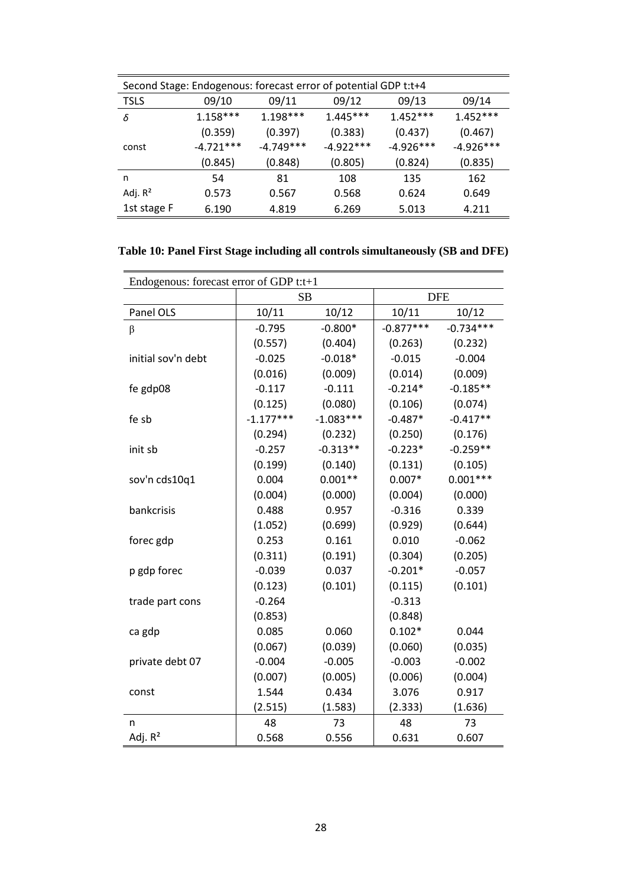| Second Stage: Endogenous: forecast error of potential GDP t:t+4 |             |             |             |             |             |  |  |
|-----------------------------------------------------------------|-------------|-------------|-------------|-------------|-------------|--|--|
| <b>TSLS</b>                                                     | 09/10       | 09/11       | 09/12       | 09/13       | 09/14       |  |  |
| δ                                                               | $1.158***$  | $1.198***$  | $1.445***$  | $1.452***$  | $1.452***$  |  |  |
|                                                                 | (0.359)     | (0.397)     | (0.383)     | (0.437)     | (0.467)     |  |  |
| const                                                           | $-4.721***$ | $-4.749***$ | $-4.922***$ | $-4.926***$ | $-4.926***$ |  |  |
|                                                                 | (0.845)     | (0.848)     | (0.805)     | (0.824)     | (0.835)     |  |  |
| n                                                               | 54          | 81          | 108         | 135         | 162         |  |  |
| Adj. $R^2$                                                      | 0.573       | 0.567       | 0.568       | 0.624       | 0.649       |  |  |
| 1st stage F                                                     | 6.190       | 4.819       | 6.269       | 5.013       | 4.211       |  |  |
|                                                                 |             |             |             |             |             |  |  |

| Table 10: Panel First Stage including all controls simultaneously (SB and DFE) |  |  |  |  |  |  |  |
|--------------------------------------------------------------------------------|--|--|--|--|--|--|--|
|--------------------------------------------------------------------------------|--|--|--|--|--|--|--|

| Endogenous: forecast error of GDP t:t+1 |             |             |             |             |  |  |  |  |
|-----------------------------------------|-------------|-------------|-------------|-------------|--|--|--|--|
|                                         |             | <b>SB</b>   | <b>DFE</b>  |             |  |  |  |  |
| Panel OLS                               | 10/11       | 10/12       | 10/11       | 10/12       |  |  |  |  |
| β                                       | $-0.795$    | $-0.800*$   | $-0.877***$ | $-0.734***$ |  |  |  |  |
|                                         | (0.557)     | (0.404)     | (0.263)     | (0.232)     |  |  |  |  |
| initial sov'n debt                      | $-0.025$    | $-0.018*$   | $-0.015$    | $-0.004$    |  |  |  |  |
|                                         | (0.016)     | (0.009)     | (0.014)     | (0.009)     |  |  |  |  |
| fe gdp08                                | $-0.117$    | $-0.111$    | $-0.214*$   | $-0.185**$  |  |  |  |  |
|                                         | (0.125)     | (0.080)     | (0.106)     | (0.074)     |  |  |  |  |
| fe sb                                   | $-1.177***$ | $-1.083***$ | $-0.487*$   | $-0.417**$  |  |  |  |  |
|                                         | (0.294)     | (0.232)     | (0.250)     | (0.176)     |  |  |  |  |
| init sb                                 | $-0.257$    | $-0.313**$  | $-0.223*$   | $-0.259**$  |  |  |  |  |
|                                         | (0.199)     | (0.140)     | (0.131)     | (0.105)     |  |  |  |  |
| sov'n cds10q1                           | 0.004       | $0.001**$   | $0.007*$    | $0.001***$  |  |  |  |  |
|                                         | (0.004)     | (0.000)     | (0.004)     | (0.000)     |  |  |  |  |
| bankcrisis                              | 0.488       | 0.957       | $-0.316$    | 0.339       |  |  |  |  |
|                                         | (1.052)     | (0.699)     | (0.929)     | (0.644)     |  |  |  |  |
| forec gdp                               | 0.253       | 0.161       | 0.010       | $-0.062$    |  |  |  |  |
|                                         | (0.311)     | (0.191)     | (0.304)     | (0.205)     |  |  |  |  |
| p gdp forec                             | $-0.039$    | 0.037       | $-0.201*$   | $-0.057$    |  |  |  |  |
|                                         | (0.123)     | (0.101)     | (0.115)     | (0.101)     |  |  |  |  |
| trade part cons                         | $-0.264$    |             | $-0.313$    |             |  |  |  |  |
|                                         | (0.853)     |             | (0.848)     |             |  |  |  |  |
| ca gdp                                  | 0.085       | 0.060       | $0.102*$    | 0.044       |  |  |  |  |
|                                         | (0.067)     | (0.039)     | (0.060)     | (0.035)     |  |  |  |  |
| private debt 07                         | $-0.004$    | $-0.005$    | $-0.003$    | $-0.002$    |  |  |  |  |
|                                         | (0.007)     | (0.005)     | (0.006)     | (0.004)     |  |  |  |  |
| const                                   | 1.544       | 0.434       | 3.076       | 0.917       |  |  |  |  |
|                                         | (2.515)     | (1.583)     | (2.333)     | (1.636)     |  |  |  |  |
| n                                       | 48          | 73          | 48          | 73          |  |  |  |  |
| Adj. $R^2$                              | 0.568       | 0.556       | 0.631       | 0.607       |  |  |  |  |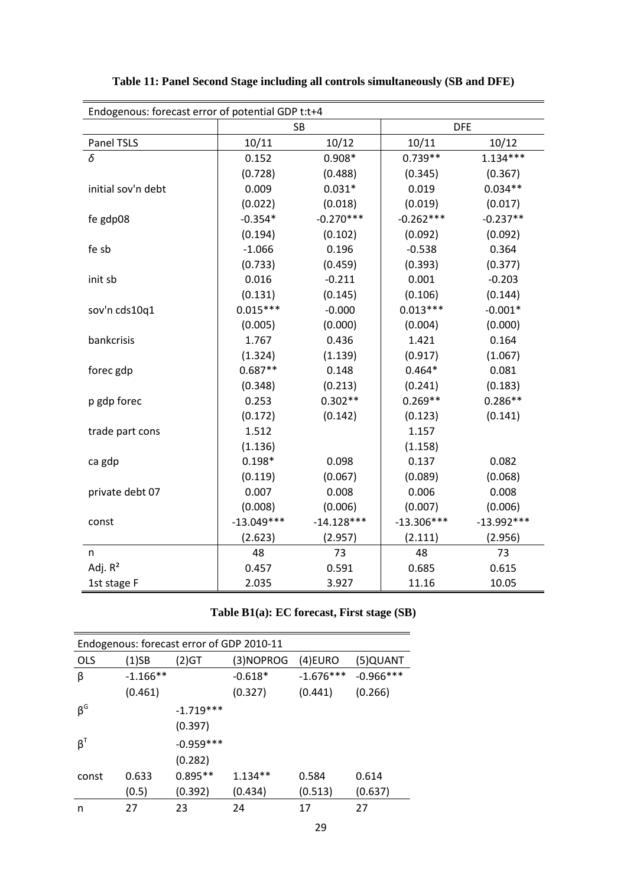| Endogenous: forecast error of potential GDP t:t+4 |              |              |              |              |  |  |  |  |
|---------------------------------------------------|--------------|--------------|--------------|--------------|--|--|--|--|
|                                                   |              | <b>SB</b>    | <b>DFE</b>   |              |  |  |  |  |
| Panel TSLS                                        | 10/11        | 10/12        | 10/11        | 10/12        |  |  |  |  |
| δ                                                 | 0.152        | $0.908*$     | $0.739**$    | $1.134***$   |  |  |  |  |
|                                                   | (0.728)      | (0.488)      | (0.345)      | (0.367)      |  |  |  |  |
| initial sov'n debt                                | 0.009        | $0.031*$     | 0.019        | $0.034**$    |  |  |  |  |
|                                                   | (0.022)      | (0.018)      | (0.019)      | (0.017)      |  |  |  |  |
| fe gdp08                                          | $-0.354*$    | $-0.270***$  | $-0.262***$  | $-0.237**$   |  |  |  |  |
|                                                   | (0.194)      | (0.102)      | (0.092)      | (0.092)      |  |  |  |  |
| fe sb                                             | $-1.066$     | 0.196        | $-0.538$     | 0.364        |  |  |  |  |
|                                                   | (0.733)      | (0.459)      | (0.393)      | (0.377)      |  |  |  |  |
| init sb                                           | 0.016        | $-0.211$     | 0.001        | $-0.203$     |  |  |  |  |
|                                                   | (0.131)      | (0.145)      | (0.106)      | (0.144)      |  |  |  |  |
| sov'n cds10q1                                     | $0.015***$   | $-0.000$     | $0.013***$   | $-0.001*$    |  |  |  |  |
|                                                   | (0.005)      | (0.000)      | (0.004)      | (0.000)      |  |  |  |  |
| bankcrisis                                        | 1.767        | 0.436        | 1.421        | 0.164        |  |  |  |  |
|                                                   | (1.324)      | (1.139)      | (0.917)      | (1.067)      |  |  |  |  |
| forec gdp                                         | $0.687**$    | 0.148        | $0.464*$     | 0.081        |  |  |  |  |
|                                                   | (0.348)      | (0.213)      | (0.241)      | (0.183)      |  |  |  |  |
| p gdp forec                                       | 0.253        | $0.302**$    | $0.269**$    | $0.286**$    |  |  |  |  |
|                                                   | (0.172)      | (0.142)      | (0.123)      | (0.141)      |  |  |  |  |
| trade part cons                                   | 1.512        |              | 1.157        |              |  |  |  |  |
|                                                   | (1.136)      |              | (1.158)      |              |  |  |  |  |
| ca gdp                                            | $0.198*$     | 0.098        | 0.137        | 0.082        |  |  |  |  |
|                                                   | (0.119)      | (0.067)      | (0.089)      | (0.068)      |  |  |  |  |
| private debt 07                                   | 0.007        | 0.008        | 0.006        | 0.008        |  |  |  |  |
|                                                   | (0.008)      | (0.006)      | (0.007)      | (0.006)      |  |  |  |  |
| const                                             | $-13.049***$ | $-14.128***$ | $-13.306***$ | $-13.992***$ |  |  |  |  |
|                                                   | (2.623)      | (2.957)      | (2.111)      | (2.956)      |  |  |  |  |
| n                                                 | 48           | 73           | 48           | 73           |  |  |  |  |
| Adj. $R^2$                                        | 0.457        | 0.591        | 0.685        | 0.615        |  |  |  |  |
| 1st stage F                                       | 2.035        | 3.927        | 11.16        | 10.05        |  |  |  |  |

**Table 11: Panel Second Stage including all controls simultaneously (SB and DFE)**

|  | Table B1(a): EC forecast, First stage (SB) |  |  |
|--|--------------------------------------------|--|--|
|--|--------------------------------------------|--|--|

| Endogenous: forecast error of GDP 2010-11 |            |             |           |             |             |  |  |  |
|-------------------------------------------|------------|-------------|-----------|-------------|-------------|--|--|--|
| <b>OLS</b>                                | $(1)$ SB   | $(2)$ GT    | (3)NOPROG | $(4)$ EURO  | (5)QUANT    |  |  |  |
| β                                         | $-1.166**$ |             | $-0.618*$ | $-1.676***$ | $-0.966***$ |  |  |  |
|                                           | (0.461)    |             | (0.327)   | (0.441)     | (0.266)     |  |  |  |
| $\beta^G$                                 |            | $-1.719***$ |           |             |             |  |  |  |
|                                           |            | (0.397)     |           |             |             |  |  |  |
| $\beta^T$                                 |            | $-0.959***$ |           |             |             |  |  |  |
|                                           |            | (0.282)     |           |             |             |  |  |  |
| const                                     | 0.633      | $0.895**$   | $1.134**$ | 0.584       | 0.614       |  |  |  |
|                                           | (0.5)      | (0.392)     | (0.434)   | (0.513)     | (0.637)     |  |  |  |
| n                                         | 27         | 23          | 24        | 17          | 27          |  |  |  |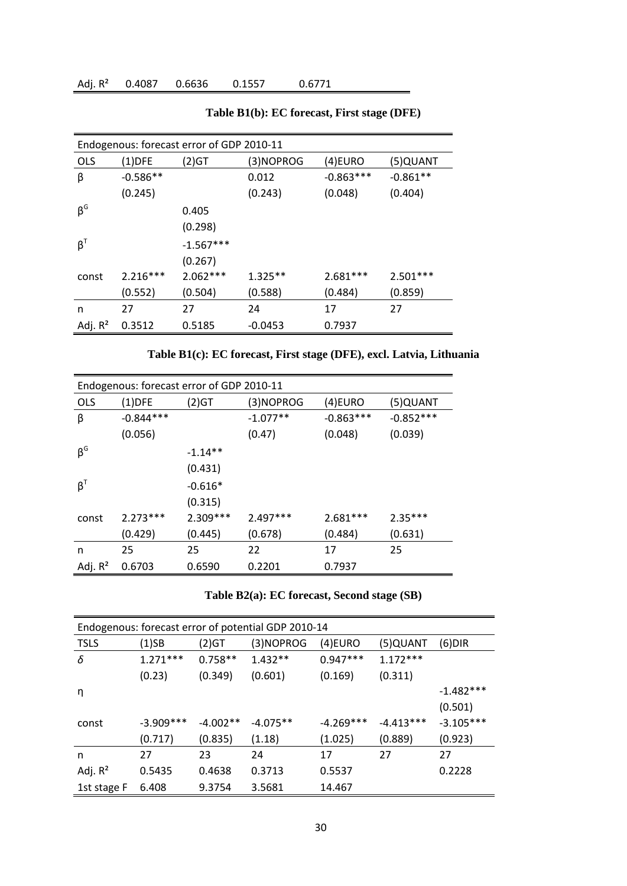|                                  | Endogenous: forecast error of GDP 2010-11 |             |           |             |            |  |  |  |
|----------------------------------|-------------------------------------------|-------------|-----------|-------------|------------|--|--|--|
| <b>OLS</b>                       | (1)DFE                                    | (2)GT       | (3)NOPROG | (4)EURO     | (5)QUANT   |  |  |  |
| β                                | $-0.586**$                                |             | 0.012     | $-0.863***$ | $-0.861**$ |  |  |  |
|                                  | (0.245)                                   |             | (0.243)   | (0.048)     | (0.404)    |  |  |  |
| $\beta^G$                        |                                           | 0.405       |           |             |            |  |  |  |
|                                  |                                           | (0.298)     |           |             |            |  |  |  |
| $\boldsymbol{\beta}^{\intercal}$ |                                           | $-1.567***$ |           |             |            |  |  |  |
|                                  |                                           | (0.267)     |           |             |            |  |  |  |
| const                            | $2.216***$                                | $2.062***$  | $1.325**$ | $2.681***$  | $2.501***$ |  |  |  |
|                                  | (0.552)                                   | (0.504)     | (0.588)   | (0.484)     | (0.859)    |  |  |  |
| n                                | 27                                        | 27          | 24        | 17          | 27         |  |  |  |
| Adj. $R^2$                       | 0.3512                                    | 0.5185      | $-0.0453$ | 0.7937      |            |  |  |  |

**Table B1(b): EC forecast, First stage (DFE)**

**Table B1(c): EC forecast, First stage (DFE), excl. Latvia, Lithuania**

| Endogenous: forecast error of GDP 2010-11 |             |            |            |             |             |  |  |  |
|-------------------------------------------|-------------|------------|------------|-------------|-------------|--|--|--|
| <b>OLS</b>                                | $(1)$ DFE   | (2)GT      | (3)NOPROG  | (4)EURO     | (5)QUANT    |  |  |  |
| β                                         | $-0.844***$ |            | $-1.077**$ | $-0.863***$ | $-0.852***$ |  |  |  |
|                                           | (0.056)     |            | (0.47)     | (0.048)     | (0.039)     |  |  |  |
| $\beta^G$                                 |             | $-1.14**$  |            |             |             |  |  |  |
|                                           |             | (0.431)    |            |             |             |  |  |  |
| $\beta^T$                                 |             | $-0.616*$  |            |             |             |  |  |  |
|                                           |             | (0.315)    |            |             |             |  |  |  |
| const                                     | $2.273***$  | $2.309***$ | $2.497***$ | $2.681***$  | $2.35***$   |  |  |  |
|                                           | (0.429)     | (0.445)    | (0.678)    | (0.484)     | (0.631)     |  |  |  |
| n                                         | 25          | 25         | 22         | 17          | 25          |  |  |  |
| Adj. $R^2$                                | 0.6703      | 0.6590     | 0.2201     | 0.7937      |             |  |  |  |

|  | Table B2(a): EC forecast, Second stage (SB) |  |
|--|---------------------------------------------|--|

| Endogenous: forecast error of potential GDP 2010-14 |             |            |            |             |             |             |  |  |  |
|-----------------------------------------------------|-------------|------------|------------|-------------|-------------|-------------|--|--|--|
| <b>TSLS</b>                                         | (1)SB       | (2)GT      | (3)NOPROG  | (4)EURO     | (5)QUANT    | $(6)$ DIR   |  |  |  |
| δ                                                   | $1.271***$  | $0.758**$  | $1.432**$  | $0.947***$  | $1.172***$  |             |  |  |  |
|                                                     | (0.23)      | (0.349)    | (0.601)    | (0.169)     | (0.311)     |             |  |  |  |
| η                                                   |             |            |            |             |             | $-1.482***$ |  |  |  |
|                                                     |             |            |            |             |             | (0.501)     |  |  |  |
| const                                               | $-3.909***$ | $-4.002**$ | $-4.075**$ | $-4.269***$ | $-4.413***$ | $-3.105***$ |  |  |  |
|                                                     | (0.717)     | (0.835)    | (1.18)     | (1.025)     | (0.889)     | (0.923)     |  |  |  |
| n                                                   | 27          | 23         | 24         | 17          | 27          | 27          |  |  |  |
| Adj. $R^2$                                          | 0.5435      | 0.4638     | 0.3713     | 0.5537      |             | 0.2228      |  |  |  |
| 1st stage F                                         | 6.408       | 9.3754     | 3.5681     | 14.467      |             |             |  |  |  |
|                                                     |             |            |            |             |             |             |  |  |  |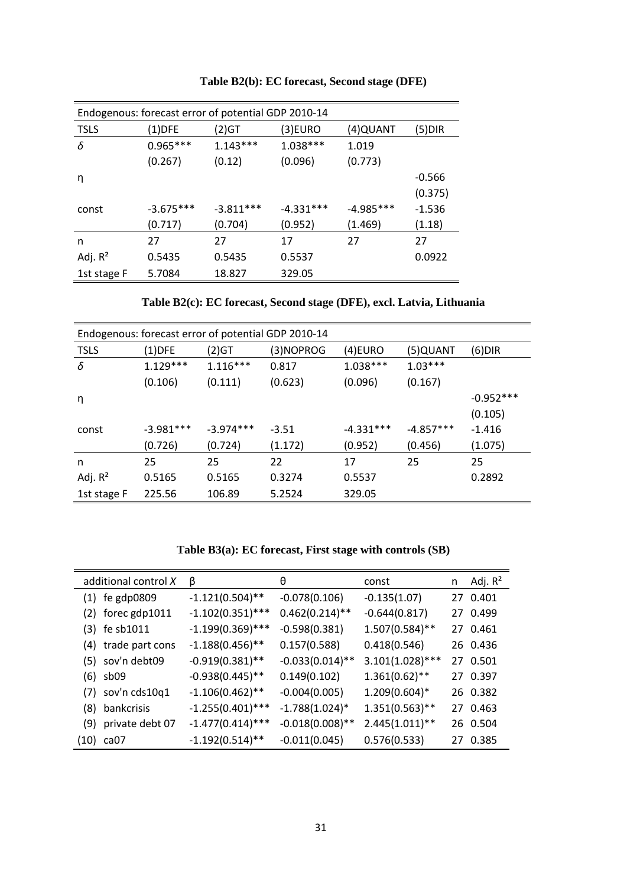| Endogenous: forecast error of potential GDP 2010-14 |             |             |             |             |          |  |  |  |
|-----------------------------------------------------|-------------|-------------|-------------|-------------|----------|--|--|--|
| <b>TSLS</b>                                         | $(1)$ DFE   | $(2)$ GT    | (3)EURO     | (4)QUANT    | (5)DIR   |  |  |  |
| δ                                                   | $0.965***$  | $1.143***$  | $1.038***$  | 1.019       |          |  |  |  |
|                                                     | (0.267)     | (0.12)      | (0.096)     | (0.773)     |          |  |  |  |
| η                                                   |             |             |             |             | $-0.566$ |  |  |  |
|                                                     |             |             |             |             | (0.375)  |  |  |  |
| const                                               | $-3.675***$ | $-3.811***$ | $-4.331***$ | $-4.985***$ | $-1.536$ |  |  |  |
|                                                     | (0.717)     | (0.704)     | (0.952)     | (1.469)     | (1.18)   |  |  |  |
| n                                                   | 27          | 27          | 17          | 27          | 27       |  |  |  |
| Adj. $R^2$                                          | 0.5435      | 0.5435      | 0.5537      |             | 0.0922   |  |  |  |
| 1st stage F                                         | 5.7084      | 18.827      | 329.05      |             |          |  |  |  |

**Table B2(b): EC forecast, Second stage (DFE)**

**Table B2(c): EC forecast, Second stage (DFE), excl. Latvia, Lithuania**

| Endogenous: forecast error of potential GDP 2010-14 |             |             |           |             |             |             |  |  |  |
|-----------------------------------------------------|-------------|-------------|-----------|-------------|-------------|-------------|--|--|--|
| <b>TSLS</b>                                         | $(1)$ DFE   | (2)GT       | (3)NOPROG | $(4)$ EURO  | (5)QUANT    | $(6)$ DIR   |  |  |  |
| δ                                                   | $1.129***$  | $1.116***$  | 0.817     | $1.038***$  | $1.03***$   |             |  |  |  |
|                                                     | (0.106)     | (0.111)     | (0.623)   | (0.096)     | (0.167)     |             |  |  |  |
| η                                                   |             |             |           |             |             | $-0.952***$ |  |  |  |
|                                                     |             |             |           |             |             | (0.105)     |  |  |  |
| const                                               | $-3.981***$ | $-3.974***$ | $-3.51$   | $-4.331***$ | $-4.857***$ | $-1.416$    |  |  |  |
|                                                     | (0.726)     | (0.724)     | (1.172)   | (0.952)     | (0.456)     | (1.075)     |  |  |  |
| n                                                   | 25          | 25          | 22        | 17          | 25          | 25          |  |  |  |
| Adj. $R^2$                                          | 0.5165      | 0.5165      | 0.3274    | 0.5537      |             | 0.2892      |  |  |  |
| 1st stage F                                         | 225.56      | 106.89      | 5.2524    | 329.05      |             |             |  |  |  |

**Table B3(a): EC forecast, First stage with controls (SB)**

|     | additional control X | β                   | θ                  | const              | n | Adj. $R^2$ |
|-----|----------------------|---------------------|--------------------|--------------------|---|------------|
|     | $(1)$ fe gdp0809     | $-1.121(0.504)$ **  | $-0.078(0.106)$    | $-0.135(1.07)$     |   | 27 0.401   |
|     | $(2)$ forec gdp1011  | $-1.102(0.351)$ *** | $0.462(0.214)$ **  | $-0.644(0.817)$    |   | 27 0.499   |
|     | $(3)$ fe sb1011      | $-1.199(0.369)$ *** | $-0.598(0.381)$    | $1.507(0.584)$ **  |   | 27 0.461   |
|     | (4) trade part cons  | $-1.188(0.456)$ **  | 0.157(0.588)       | 0.418(0.546)       |   | 26 0.436   |
|     | (5) sov'n debt09     | $-0.919(0.381)$ **  | $-0.033(0.014)$ ** | $3.101(1.028)$ *** |   | 27 0.501   |
|     | $(6)$ sb09           | $-0.938(0.445)$ **  | 0.149(0.102)       | $1.361(0.62)$ **   |   | 27 0.397   |
|     | $(7)$ sov'n cds10q1  | $-1.106(0.462)$ **  | $-0.004(0.005)$    | $1.209(0.604)*$    |   | 26 0.382   |
| (8) | bankcrisis           | $-1.255(0.401)$ *** | $-1.788(1.024)^*$  | $1.351(0.563)$ **  |   | 27 0.463   |
|     | (9) private debt 07  | $-1.477(0.414)$ *** | $-0.018(0.008)$ ** | $2.445(1.011)$ **  |   | 26 0.504   |
|     | (10) ca07            | $-1.192(0.514)$ **  | $-0.011(0.045)$    | 0.576(0.533)       |   | 27 0.385   |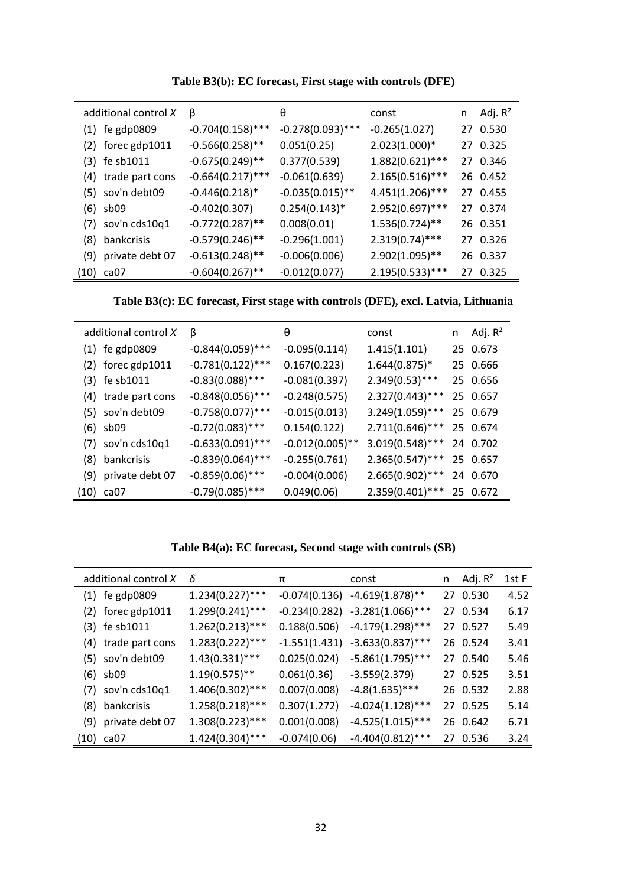| additional control X | β                            | θ                   | const              | n | Adj. $R^2$ |
|----------------------|------------------------------|---------------------|--------------------|---|------------|
| $(1)$ fe gdp0809     | $-0.704(0.158)$ ***          | $-0.278(0.093)$ *** | $-0.265(1.027)$    |   | 27 0.530   |
| $(2)$ forec gdp1011  | $-0.566(0.258)$ **           | 0.051(0.25)         | $2.023(1.000)*$    |   | 27 0.325   |
| $(3)$ fe sb1011      | $-0.675(0.249)$ **           | 0.377(0.539)        | $1.882(0.621)$ *** |   | 27 0.346   |
| (4) trade part cons  | $-0.664(0.217)$ ***          | $-0.061(0.639)$     | $2.165(0.516)***$  |   | 26 0.452   |
| (5) sov'n debt09     | $-0.446(0.218)$ <sup>*</sup> | $-0.035(0.015)$ **  | $4.451(1.206)***$  |   | 27 0.455   |
| $(6)$ sb09           | $-0.402(0.307)$              | $0.254(0.143)^*$    | $2.952(0.697)$ *** |   | 27 0.374   |
| $(7)$ sov'n cds10q1  | $-0.772(0.287)$ **           | 0.008(0.01)         | $1.536(0.724)$ **  |   | 26 0.351   |
| (8) bankcrisis       | $-0.579(0.246)$ **           | $-0.296(1.001)$     | $2.319(0.74)$ ***  |   | 27 0.326   |
| (9) private debt 07  | $-0.613(0.248)$ **           | $-0.006(0.006)$     | $2.902(1.095)$ **  |   | 26 0.337   |
| (10) ca07            | $-0.604(0.267)$ **           | $-0.012(0.077)$     | $2.195(0.533)$ *** |   | 27 0.325   |

**Table B3(b): EC forecast, First stage with controls (DFE)**

**Table B3(c): EC forecast, First stage with controls (DFE), excl. Latvia, Lithuania**

|     | additional control X | β                   | θ                  | const              | n | Adj. R <sup>2</sup> |
|-----|----------------------|---------------------|--------------------|--------------------|---|---------------------|
|     | $(1)$ fe gdp0809     | $-0.844(0.059)$ *** | $-0.095(0.114)$    | 1.415(1.101)       |   | 25 0.673            |
|     | $(2)$ forec gdp1011  | $-0.781(0.122)$ *** | 0.167(0.223)       | $1.644(0.875)*$    |   | 25 0.666            |
|     | (3) fe sb1011        | $-0.83(0.088)$ ***  | $-0.081(0.397)$    | $2.349(0.53)***$   |   | 25 0.656            |
|     | (4) trade part cons  | $-0.848(0.056)$ *** | $-0.248(0.575)$    | $2.327(0.443)$ *** |   | 25 0.657            |
|     | (5) sov'n debt09     | $-0.758(0.077)$ *** | $-0.015(0.013)$    | $3.249(1.059)$ *** |   | 25 0.679            |
|     | $(6)$ sb09           | $-0.72(0.083)$ ***  | 0.154(0.122)       | $2.711(0.646)***$  |   | 25 0.674            |
|     | $(7)$ sov'n cds10q1  | $-0.633(0.091)$ *** | $-0.012(0.005)$ ** | $3.019(0.548)$ *** |   | 24 0.702            |
| (8) | bankcrisis           | $-0.839(0.064)$ *** | $-0.255(0.761)$    | $2.365(0.547)$ *** |   | 25 0.657            |
|     | (9) private debt 07  | $-0.859(0.06)$ ***  | $-0.004(0.006)$    | $2.665(0.902)$ *** |   | 24 0.670            |
|     | (10) ca07            | $-0.79(0.085)$ ***  | 0.049(0.06)        | $2.359(0.401)$ *** |   | 25 0.672            |

**Table B4(a): EC forecast, Second stage with controls (SB)**

| additional control X | δ                  | π              | const                             | n. | Adj. R <sup>2</sup> | 1st F |
|----------------------|--------------------|----------------|-----------------------------------|----|---------------------|-------|
| $(1)$ fe gdp0809     | $1.234(0.227)$ *** |                | $-0.074(0.136) -4.619(1.878)$ **  |    | 27 0.530            | 4.52  |
| $(2)$ forec gdp1011  | $1.299(0.241)$ *** |                | $-0.234(0.282) -3.281(1.066)$ *** |    | 27 0.534            | 6.17  |
| $(3)$ fe sb1011      | $1.262(0.213)***$  | 0.188(0.506)   | -4.179(1.298)***                  |    | 27 0.527            | 5.49  |
| (4) trade part cons  | $1.283(0.222)$ *** |                | $-1.551(1.431) -3.633(0.837)$ *** |    | 26 0.524            | 3.41  |
| (5) sov'n debt09     | $1.43(0.331)$ ***  |                | $0.025(0.024)$ -5.861(1.795)***   |    | 27 0.540            | 5.46  |
| $(6)$ sb09           | $1.19(0.575)$ **   |                | $0.061(0.36)$ -3.559(2.379)       |    | 27 0.525            | 3.51  |
| $(7)$ sov'n cds10q1  | $1.406(0.302)$ *** | 0.007(0.008)   | $-4.8(1.635)$ ***                 |    | 26 0.532            | 2.88  |
| (8) bankcrisis       | $1.258(0.218)$ *** | 0.307(1.272)   | $-4.024(1.128)$ ***               |    | 27 0.525            | 5.14  |
| (9) private debt 07  | $1.308(0.223)$ *** | 0.001(0.008)   | $-4.525(1.015)$ ***               |    | 26 0.642            | 6.71  |
| (10) ca07            | $1.424(0.304)$ *** | $-0.074(0.06)$ | $-4.404(0.812)$ ***               | 27 | 0.536               | 3.24  |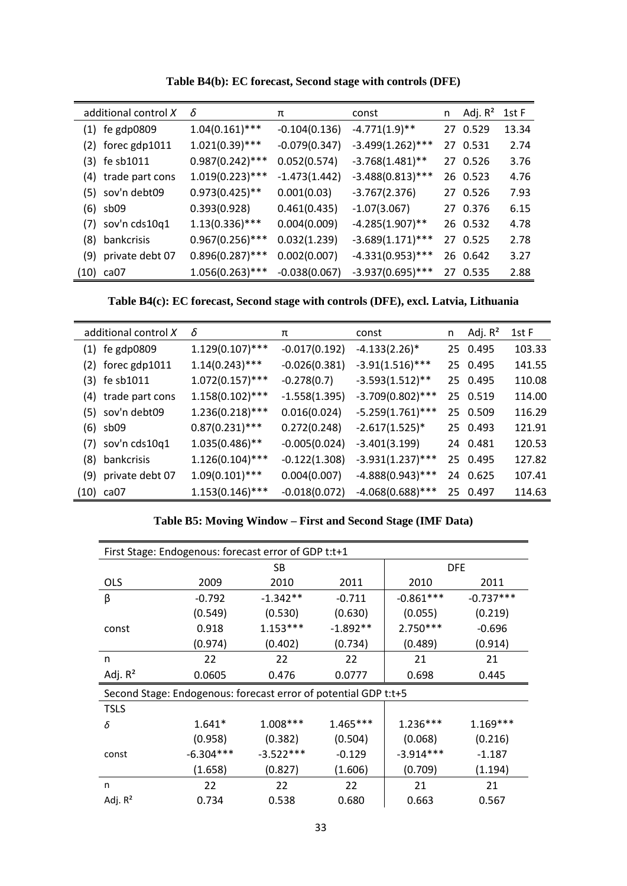| additional control X | δ                  | π               | const               | n  | Adj. R <sup>2</sup> | 1st F |
|----------------------|--------------------|-----------------|---------------------|----|---------------------|-------|
| $(1)$ fe gdp0809     | $1.04(0.161)$ ***  | $-0.104(0.136)$ | $-4.771(1.9)$ **    |    | 27 0.529            | 13.34 |
| $(2)$ forec gdp1011  | $1.021(0.39)$ ***  | $-0.079(0.347)$ | $-3.499(1.262)$ *** |    | 27 0.531            | 2.74  |
| $(3)$ fe sb1011      | $0.987(0.242)$ *** | 0.052(0.574)    | $-3.768(1.481)$ **  |    | 27 0.526            | 3.76  |
| (4) trade part cons  | $1.019(0.223)$ *** | $-1.473(1.442)$ | $-3.488(0.813)$ *** |    | 26 0.523            | 4.76  |
| (5) sov'n debt09     | $0.973(0.425)$ **  | 0.001(0.03)     | $-3.767(2.376)$     |    | 27 0.526            | 7.93  |
| $(6)$ sb09           | 0.393(0.928)       | 0.461(0.435)    | $-1.07(3.067)$      |    | 27 0.376            | 6.15  |
| $(7)$ sov'n cds10q1  | $1.13(0.336)$ ***  | 0.004(0.009)    | $-4.285(1.907)$ **  |    | 26 0.532            | 4.78  |
| (8) bankcrisis       | $0.967(0.256)$ *** | 0.032(1.239)    | $-3.689(1.171)$ *** |    | 27 0.525            | 2.78  |
| (9) private debt 07  | $0.896(0.287)$ *** | 0.002(0.007)    | $-4.331(0.953)$ *** |    | 26 0.642            | 3.27  |
| $(10)$ ca07          | $1.056(0.263)$ *** | $-0.038(0.067)$ | $-3.937(0.695)$ *** | 27 | 0.535               | 2.88  |

**Table B4(b): EC forecast, Second stage with controls (DFE)**

**Table B4(c): EC forecast, Second stage with controls (DFE), excl. Latvia, Lithuania**

|      | additional control X | δ                  | π               | const                       | n | Adj. $R^2$ | 1st F  |
|------|----------------------|--------------------|-----------------|-----------------------------|---|------------|--------|
|      | $(1)$ fe gdp0809     | $1.129(0.107)$ *** | $-0.017(0.192)$ | $-4.133(2.26)$ <sup>*</sup> |   | 25 0.495   | 103.33 |
|      | $(2)$ forec gdp1011  | $1.14(0.243)$ ***  | $-0.026(0.381)$ | $-3.91(1.516)$ ***          |   | 25 0.495   | 141.55 |
|      | $(3)$ fe sb1011      | $1.072(0.157)$ *** | $-0.278(0.7)$   | $-3.593(1.512)$ **          |   | 25 0.495   | 110.08 |
|      | (4) trade part cons  | $1.158(0.102)$ *** | $-1.558(1.395)$ | $-3.709(0.802)$ ***         |   | 25 0.519   | 114.00 |
|      | (5) sov'n debt09     | $1.236(0.218)***$  | 0.016(0.024)    | $-5.259(1.761)$ ***         |   | 25 0.509   | 116.29 |
|      | $(6)$ sb09           | $0.87(0.231)$ ***  | 0.272(0.248)    | $-2.617(1.525)^*$           |   | 25 0.493   | 121.91 |
|      | $(7)$ sov'n cds10q1  | $1.035(0.486)$ **  | $-0.005(0.024)$ | $-3.401(3.199)$             |   | 24 0.481   | 120.53 |
| (8)  | bankcrisis           | $1.126(0.104)$ *** | $-0.122(1.308)$ | $-3.931(1.237)$ ***         |   | 25 0.495   | 127.82 |
| (9)  | private debt 07      | $1.09(0.101)$ ***  | 0.004(0.007)    | $-4.888(0.943)$ ***         |   | 24 0.625   | 107.41 |
| (10) | ca07                 | $1.153(0.146)$ *** | $-0.018(0.072)$ | $-4.068(0.688)$ ***         |   | 25 0.497   | 114.63 |

|  |  | Table B5: Moving Window – First and Second Stage (IMF Data) |  |
|--|--|-------------------------------------------------------------|--|
|  |  |                                                             |  |

| First Stage: Endogenous: forecast error of GDP t:t+1            |             |             |            |             |             |  |
|-----------------------------------------------------------------|-------------|-------------|------------|-------------|-------------|--|
|                                                                 | SB          |             |            | <b>DFE</b>  |             |  |
| <b>OLS</b>                                                      | 2009        | 2010        | 2011       | 2010        | 2011        |  |
| β                                                               | $-0.792$    | $-1.342**$  | $-0.711$   | $-0.861***$ | $-0.737***$ |  |
|                                                                 | (0.549)     | (0.530)     | (0.630)    | (0.055)     | (0.219)     |  |
| const                                                           | 0.918       | $1.153***$  | $-1.892**$ | $2.750***$  | $-0.696$    |  |
|                                                                 | (0.974)     | (0.402)     | (0.734)    | (0.489)     | (0.914)     |  |
| n                                                               | 22          | 22          | 22         | 21          | 21          |  |
| Adj. $R^2$                                                      | 0.0605      | 0.476       | 0.0777     | 0.698       | 0.445       |  |
| Second Stage: Endogenous: forecast error of potential GDP t:t+5 |             |             |            |             |             |  |
| <b>TSLS</b>                                                     |             |             |            |             |             |  |
| δ                                                               | $1.641*$    | $1.008***$  | $1.465***$ | $1.236***$  | $1.169***$  |  |
|                                                                 | (0.958)     | (0.382)     | (0.504)    | (0.068)     | (0.216)     |  |
| const                                                           | $-6.304***$ | $-3.522***$ | $-0.129$   | $-3.914***$ | $-1.187$    |  |
|                                                                 | (1.658)     | (0.827)     | (1.606)    | (0.709)     | (1.194)     |  |
| n                                                               | 22          | 22          | 22         | 21          | 21          |  |
| Adj. $R^2$                                                      | 0.734       | 0.538       | 0.680      | 0.663       | 0.567       |  |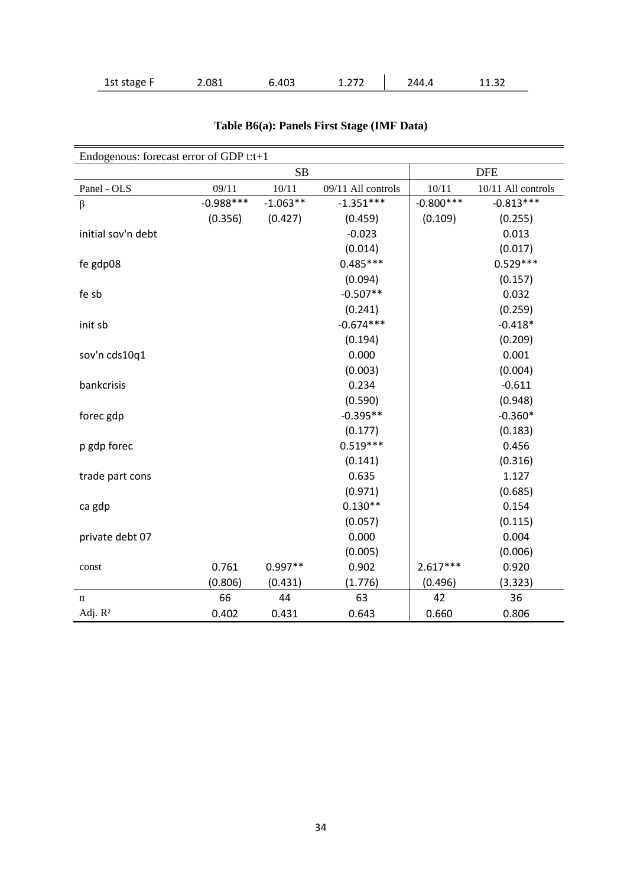| 1st stage F | .081 | .403 | $\sim$ $\sim$<br>1.L / L | 24 A | $\sim$ $\sim$<br>11.32<br>_______ |
|-------------|------|------|--------------------------|------|-----------------------------------|
|-------------|------|------|--------------------------|------|-----------------------------------|

| Endogenous: forecast error of GDP t:t+1 |             |            |                    |             |                    |  |
|-----------------------------------------|-------------|------------|--------------------|-------------|--------------------|--|
|                                         | SB          |            |                    | <b>DFE</b>  |                    |  |
| Panel - OLS                             | 09/11       | 10/11      | 09/11 All controls | 10/11       | 10/11 All controls |  |
| $\beta$                                 | $-0.988***$ | $-1.063**$ | $-1.351***$        | $-0.800***$ | $-0.813***$        |  |
|                                         | (0.356)     | (0.427)    | (0.459)            | (0.109)     | (0.255)            |  |
| initial sov'n debt                      |             |            | $-0.023$           |             | 0.013              |  |
|                                         |             |            | (0.014)            |             | (0.017)            |  |
| fe gdp08                                |             |            | $0.485***$         |             | $0.529***$         |  |
|                                         |             |            | (0.094)            |             | (0.157)            |  |
| fe sb                                   |             |            | $-0.507**$         |             | 0.032              |  |
|                                         |             |            | (0.241)            |             | (0.259)            |  |
| init sb                                 |             |            | $-0.674***$        |             | $-0.418*$          |  |
|                                         |             |            | (0.194)            |             | (0.209)            |  |
| sov'n cds10q1                           |             |            | 0.000              |             | 0.001              |  |
|                                         |             |            | (0.003)            |             | (0.004)            |  |
| bankcrisis                              |             |            | 0.234              |             | $-0.611$           |  |
|                                         |             |            | (0.590)            |             | (0.948)            |  |
| forec gdp                               |             |            | $-0.395**$         |             | $-0.360*$          |  |
|                                         |             |            | (0.177)            |             | (0.183)            |  |
| p gdp forec                             |             |            | $0.519***$         |             | 0.456              |  |
|                                         |             |            | (0.141)            |             | (0.316)            |  |
| trade part cons                         |             |            | 0.635              |             | 1.127              |  |
|                                         |             |            | (0.971)            |             | (0.685)            |  |
| ca gdp                                  |             |            | $0.130**$          |             | 0.154              |  |
|                                         |             |            | (0.057)            |             | (0.115)            |  |
| private debt 07                         |             |            | 0.000              |             | 0.004              |  |
|                                         |             |            | (0.005)            |             | (0.006)            |  |
| const                                   | 0.761       | $0.997**$  | 0.902              | $2.617***$  | 0.920              |  |
|                                         | (0.806)     | (0.431)    | (1.776)            | (0.496)     | (3.323)            |  |
| $\mathbf n$                             | 66          | 44         | 63                 | 42          | 36                 |  |
| Adj. R <sup>2</sup>                     | 0.402       | 0.431      | 0.643              | 0.660       | 0.806              |  |

#### **Table B6(a): Panels First Stage (IMF Data)**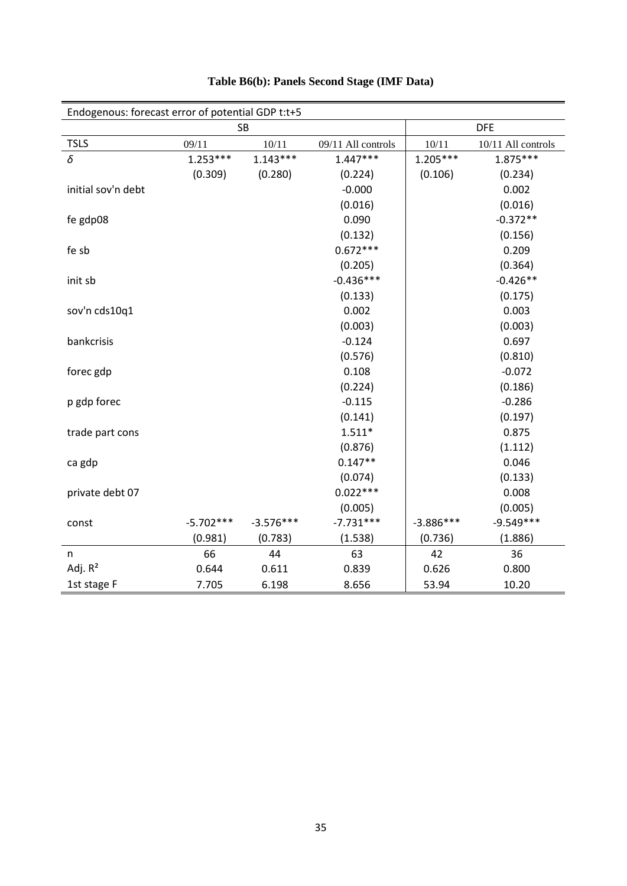| Endogenous: forecast error of potential GDP t:t+5 |             |             |                    |             |                    |
|---------------------------------------------------|-------------|-------------|--------------------|-------------|--------------------|
|                                                   | SB          |             |                    | <b>DFE</b>  |                    |
| <b>TSLS</b>                                       | 09/11       | 10/11       | 09/11 All controls | 10/11       | 10/11 All controls |
| $\delta$                                          | $1.253***$  | $1.143***$  | $1.447***$         | $1.205***$  | $1.875***$         |
|                                                   | (0.309)     | (0.280)     | (0.224)            | (0.106)     | (0.234)            |
| initial sov'n debt                                |             |             | $-0.000$           |             | 0.002              |
|                                                   |             |             | (0.016)            |             | (0.016)            |
| fe gdp08                                          |             |             | 0.090              |             | $-0.372**$         |
|                                                   |             |             | (0.132)            |             | (0.156)            |
| fe sb                                             |             |             | $0.672***$         |             | 0.209              |
|                                                   |             |             | (0.205)            |             | (0.364)            |
| init sb                                           |             |             | $-0.436***$        |             | $-0.426**$         |
|                                                   |             |             | (0.133)            |             | (0.175)            |
| sov'n cds10q1                                     |             |             | 0.002              |             | 0.003              |
|                                                   |             |             | (0.003)            |             | (0.003)            |
| bankcrisis                                        |             |             | $-0.124$           |             | 0.697              |
|                                                   |             |             | (0.576)            |             | (0.810)            |
| forec gdp                                         |             |             | 0.108              |             | $-0.072$           |
|                                                   |             |             | (0.224)            |             | (0.186)            |
| p gdp forec                                       |             |             | $-0.115$           |             | $-0.286$           |
|                                                   |             |             | (0.141)            |             | (0.197)            |
| trade part cons                                   |             |             | $1.511*$           |             | 0.875              |
|                                                   |             |             | (0.876)            |             | (1.112)            |
| ca gdp                                            |             |             | $0.147**$          |             | 0.046              |
|                                                   |             |             | (0.074)            |             | (0.133)            |
| private debt 07                                   |             |             | $0.022***$         |             | 0.008              |
|                                                   |             |             | (0.005)            |             | (0.005)            |
| const                                             | $-5.702***$ | $-3.576***$ | $-7.731***$        | $-3.886***$ | $-9.549***$        |
|                                                   | (0.981)     | (0.783)     | (1.538)            | (0.736)     | (1.886)            |
| n                                                 | 66          | 44          | 63                 | 42          | 36                 |
| Adj. $R^2$                                        | 0.644       | 0.611       | 0.839              | 0.626       | 0.800              |
| 1st stage F                                       | 7.705       | 6.198       | 8.656              | 53.94       | 10.20              |

#### **Table B6(b): Panels Second Stage (IMF Data)**